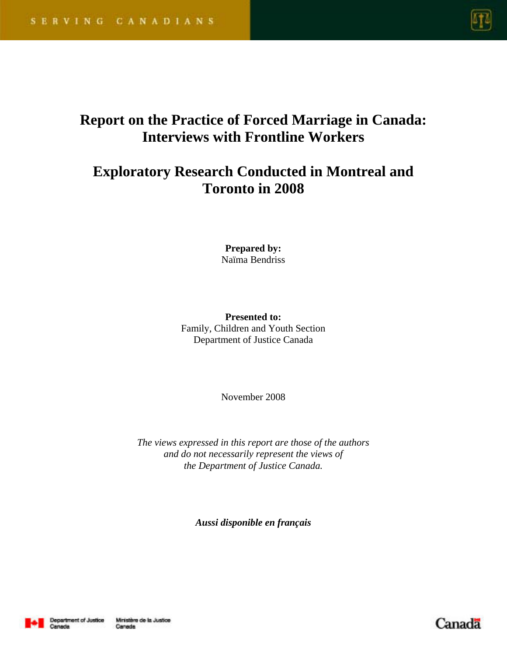

# **Report on the Practice of Forced Marriage in Canada: Interviews with Frontline Workers**

# **Exploratory Research Conducted in Montreal and Toronto in 2008**

**Prepared by:** Naïma Bendriss

**Presented to:**  Family, Children and Youth Section Department of Justice Canada

November 2008

*The views expressed in this report are those of the authors and do not necessarily represent the views of the Department of Justice Canada.* 

*Aussi disponible en français*



Canada

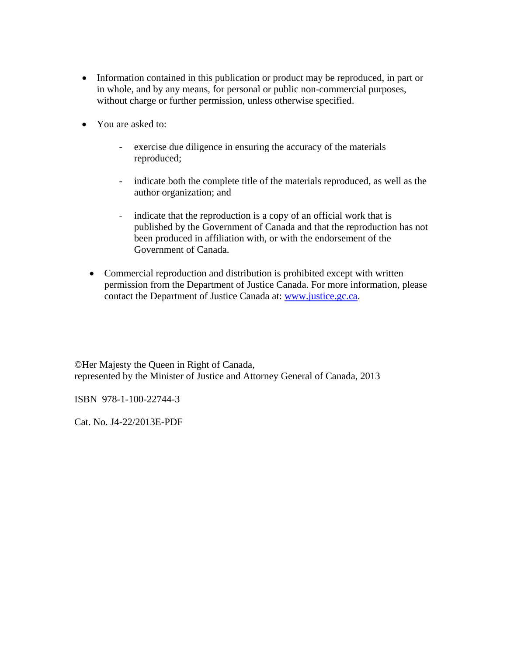- Information contained in this publication or product may be reproduced, in part or in whole, and by any means, for personal or public non-commercial purposes, without charge or further permission, unless otherwise specified.
- You are asked to:
	- exercise due diligence in ensuring the accuracy of the materials reproduced;
	- indicate both the complete title of the materials reproduced, as well as the author organization; and
	- indicate that the reproduction is a copy of an official work that is published by the Government of Canada and that the reproduction has not been produced in affiliation with, or with the endorsement of the Government of Canada.
	- Commercial reproduction and distribution is prohibited except with written permission from the Department of Justice Canada. For more information, please contact the Department of Justice Canada at: www.justice.gc.ca.

©Her Majesty the Queen in Right of Canada, represented by the Minister of Justice and Attorney General of Canada, 2013

ISBN 978-1-100-22744-3

Cat. No. J4-22/2013E-PDF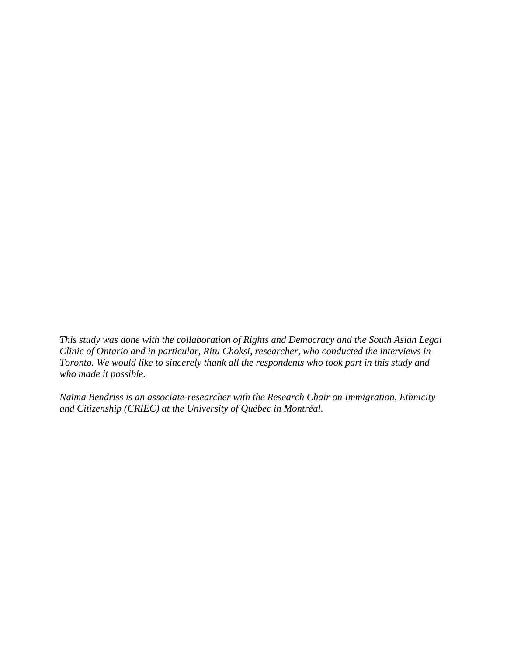*This study was done with the collaboration of Rights and Democracy and the South Asian Legal Clinic of Ontario and in particular, Ritu Choksi, researcher, who conducted the interviews in Toronto. We would like to sincerely thank all the respondents who took part in this study and who made it possible.* 

*Naïma Bendriss is an associate-researcher with the Research Chair on Immigration, Ethnicity and Citizenship (CRIEC) at the University of Québec in Montréal.*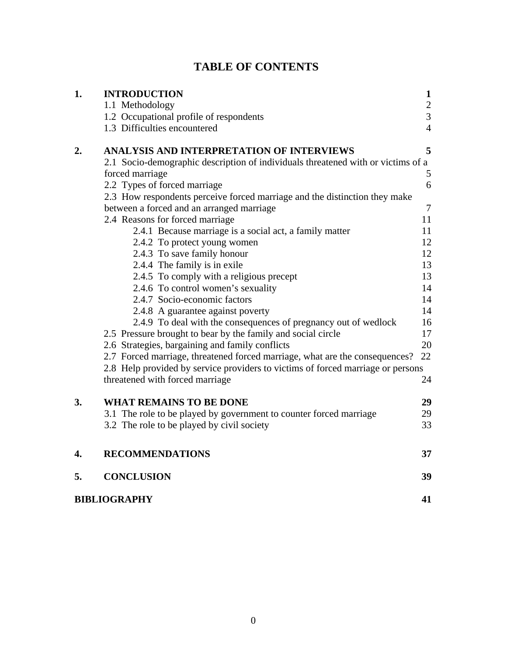| 1. | <b>INTRODUCTION</b>                                                              | $\mathbf{1}$   |
|----|----------------------------------------------------------------------------------|----------------|
|    | 1.1 Methodology                                                                  | $\frac{2}{3}$  |
|    | 1.2 Occupational profile of respondents                                          |                |
|    | 1.3 Difficulties encountered                                                     | $\overline{4}$ |
| 2. | <b>ANALYSIS AND INTERPRETATION OF INTERVIEWS</b>                                 | 5              |
|    | 2.1 Socio-demographic description of individuals threatened with or victims of a |                |
|    | forced marriage                                                                  | 5              |
|    | 2.2 Types of forced marriage                                                     | 6              |
|    | 2.3 How respondents perceive forced marriage and the distinction they make       |                |
|    | between a forced and an arranged marriage                                        | $\tau$         |
|    | 2.4 Reasons for forced marriage                                                  | 11             |
|    | 2.4.1 Because marriage is a social act, a family matter                          | 11             |
|    | 2.4.2 To protect young women                                                     | 12             |
|    | 2.4.3 To save family honour                                                      | 12             |
|    | 2.4.4 The family is in exile                                                     | 13             |
|    | 2.4.5 To comply with a religious precept                                         | 13             |
|    | 2.4.6 To control women's sexuality                                               | 14             |
|    | 2.4.7 Socio-economic factors                                                     | 14             |
|    | 2.4.8 A guarantee against poverty                                                | 14             |
|    | 2.4.9 To deal with the consequences of pregnancy out of wedlock                  | 16             |
|    | 2.5 Pressure brought to bear by the family and social circle                     | 17             |
|    | 2.6 Strategies, bargaining and family conflicts                                  | 20             |
|    | 2.7 Forced marriage, threatened forced marriage, what are the consequences?      | 22             |
|    | 2.8 Help provided by service providers to victims of forced marriage or persons  |                |
|    | threatened with forced marriage                                                  | 24             |
| 3. | <b>WHAT REMAINS TO BE DONE</b>                                                   | 29             |
|    | 3.1 The role to be played by government to counter forced marriage               | 29             |
|    | 3.2 The role to be played by civil society                                       | 33             |
| 4. | <b>RECOMMENDATIONS</b>                                                           | 37             |
| 5. | <b>CONCLUSION</b>                                                                | 39             |
|    | <b>BIBLIOGRAPHY</b>                                                              |                |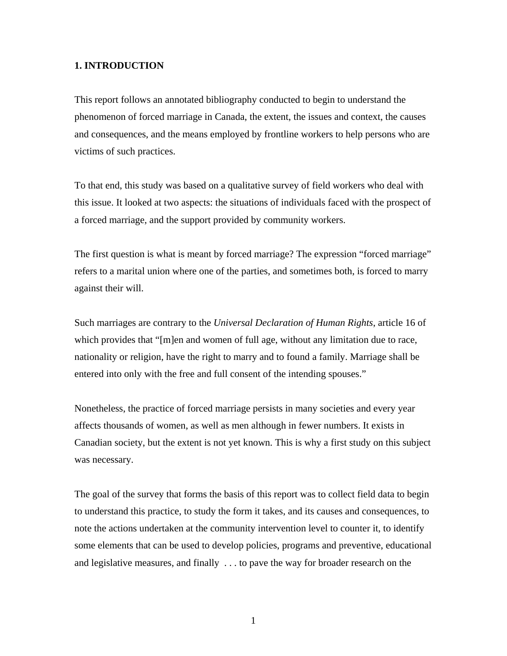#### **1. INTRODUCTION**

This report follows an annotated bibliography conducted to begin to understand the phenomenon of forced marriage in Canada, the extent, the issues and context, the causes and consequences, and the means employed by frontline workers to help persons who are victims of such practices.

To that end, this study was based on a qualitative survey of field workers who deal with this issue. It looked at two aspects: the situations of individuals faced with the prospect of a forced marriage, and the support provided by community workers.

The first question is what is meant by forced marriage? The expression "forced marriage" refers to a marital union where one of the parties, and sometimes both, is forced to marry against their will.

Such marriages are contrary to the *Universal Declaration of Human Rights*, article 16 of which provides that "[m]en and women of full age, without any limitation due to race, nationality or religion, have the right to marry and to found a family. Marriage shall be entered into only with the free and full consent of the intending spouses."

Nonetheless, the practice of forced marriage persists in many societies and every year affects thousands of women, as well as men although in fewer numbers. It exists in Canadian society, but the extent is not yet known. This is why a first study on this subject was necessary.

The goal of the survey that forms the basis of this report was to collect field data to begin to understand this practice, to study the form it takes, and its causes and consequences, to note the actions undertaken at the community intervention level to counter it, to identify some elements that can be used to develop policies, programs and preventive, educational and legislative measures, and finally . . . to pave the way for broader research on the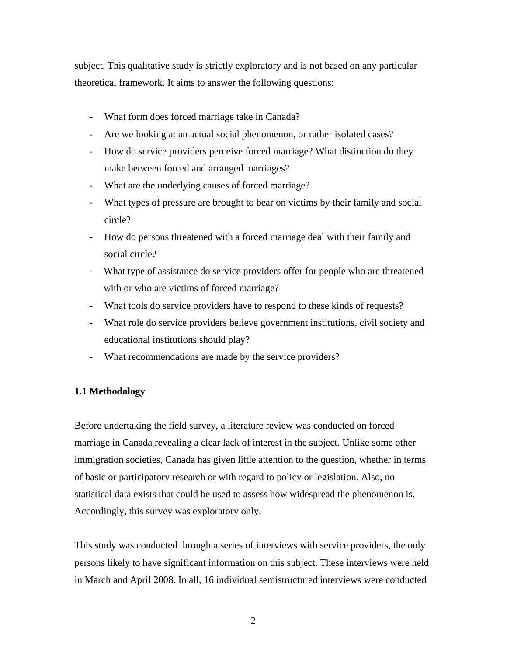subject. This qualitative study is strictly exploratory and is not based on any particular theoretical framework. It aims to answer the following questions:

- What form does forced marriage take in Canada?
- Are we looking at an actual social phenomenon, or rather isolated cases?
- How do service providers perceive forced marriage? What distinction do they make between forced and arranged marriages?
- What are the underlying causes of forced marriage?
- What types of pressure are brought to bear on victims by their family and social circle?
- How do persons threatened with a forced marriage deal with their family and social circle?
- What type of assistance do service providers offer for people who are threatened with or who are victims of forced marriage?
- What tools do service providers have to respond to these kinds of requests?
- What role do service providers believe government institutions, civil society and educational institutions should play?
- What recommendations are made by the service providers?

### **1.1 Methodology**

Before undertaking the field survey, a literature review was conducted on forced marriage in Canada revealing a clear lack of interest in the subject. Unlike some other immigration societies, Canada has given little attention to the question, whether in terms of basic or participatory research or with regard to policy or legislation. Also, no statistical data exists that could be used to assess how widespread the phenomenon is. Accordingly, this survey was exploratory only.

This study was conducted through a series of interviews with service providers, the only persons likely to have significant information on this subject. These interviews were held in March and April 2008. In all, 16 individual semistructured interviews were conducted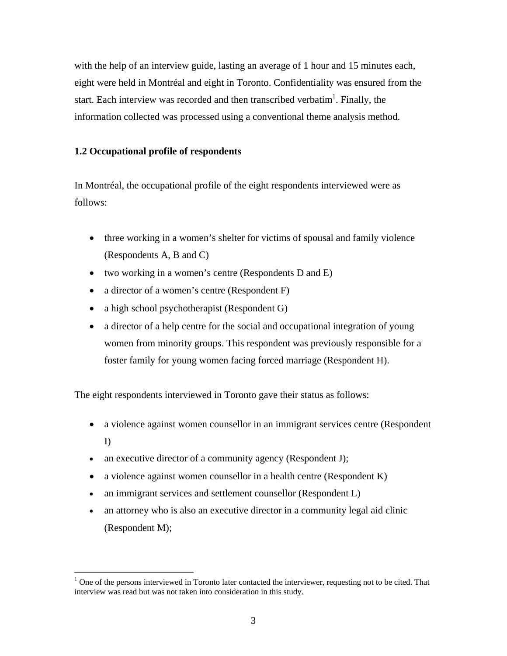with the help of an interview guide, lasting an average of 1 hour and 15 minutes each, eight were held in Montréal and eight in Toronto. Confidentiality was ensured from the start. Each interview was recorded and then transcribed verbatim<sup>1</sup>. Finally, the information collected was processed using a conventional theme analysis method.

# **1.2 Occupational profile of respondents**

In Montréal, the occupational profile of the eight respondents interviewed were as follows:

- three working in a women's shelter for victims of spousal and family violence (Respondents A, B and C)
- two working in a women's centre (Respondents D and E)
- a director of a women's centre (Respondent F)
- a high school psychotherapist (Respondent G)
- a director of a help centre for the social and occupational integration of young women from minority groups. This respondent was previously responsible for a foster family for young women facing forced marriage (Respondent H).

The eight respondents interviewed in Toronto gave their status as follows:

- a violence against women counsellor in an immigrant services centre (Respondent I)
- an executive director of a community agency (Respondent J);
- a violence against women counsellor in a health centre (Respondent K)
- an immigrant services and settlement counsellor (Respondent L)

 $\overline{a}$ 

 an attorney who is also an executive director in a community legal aid clinic (Respondent M);

 $1$  One of the persons interviewed in Toronto later contacted the interviewer, requesting not to be cited. That interview was read but was not taken into consideration in this study.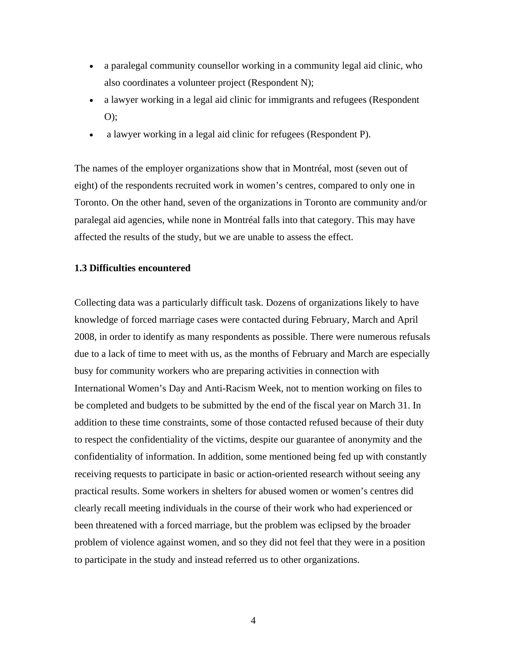- a paralegal community counsellor working in a community legal aid clinic, who also coordinates a volunteer project (Respondent N);
- a lawyer working in a legal aid clinic for immigrants and refugees (Respondent O);
- a lawyer working in a legal aid clinic for refugees (Respondent P).

The names of the employer organizations show that in Montréal, most (seven out of eight) of the respondents recruited work in women's centres, compared to only one in Toronto. On the other hand, seven of the organizations in Toronto are community and/or paralegal aid agencies, while none in Montréal falls into that category. This may have affected the results of the study, but we are unable to assess the effect.

#### **1.3 Difficulties encountered**

Collecting data was a particularly difficult task. Dozens of organizations likely to have knowledge of forced marriage cases were contacted during February, March and April 2008, in order to identify as many respondents as possible. There were numerous refusals due to a lack of time to meet with us, as the months of February and March are especially busy for community workers who are preparing activities in connection with International Women's Day and Anti-Racism Week, not to mention working on files to be completed and budgets to be submitted by the end of the fiscal year on March 31. In addition to these time constraints, some of those contacted refused because of their duty to respect the confidentiality of the victims, despite our guarantee of anonymity and the confidentiality of information. In addition, some mentioned being fed up with constantly receiving requests to participate in basic or action-oriented research without seeing any practical results. Some workers in shelters for abused women or women's centres did clearly recall meeting individuals in the course of their work who had experienced or been threatened with a forced marriage, but the problem was eclipsed by the broader problem of violence against women, and so they did not feel that they were in a position to participate in the study and instead referred us to other organizations.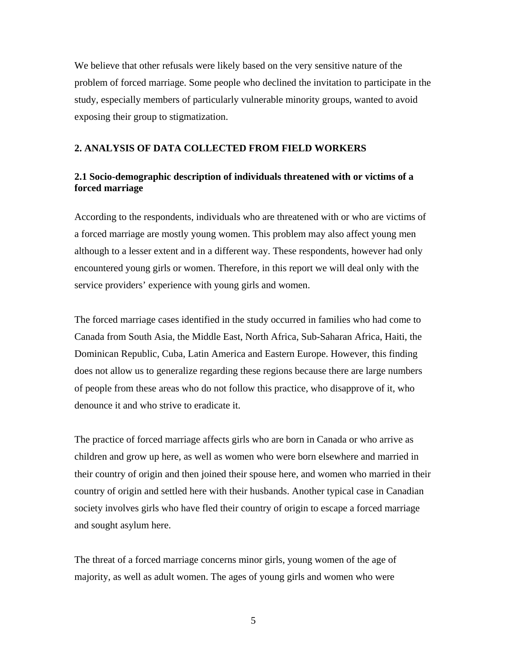We believe that other refusals were likely based on the very sensitive nature of the problem of forced marriage. Some people who declined the invitation to participate in the study, especially members of particularly vulnerable minority groups, wanted to avoid exposing their group to stigmatization.

## **2. ANALYSIS OF DATA COLLECTED FROM FIELD WORKERS**

# **2.1 Socio-demographic description of individuals threatened with or victims of a forced marriage**

According to the respondents, individuals who are threatened with or who are victims of a forced marriage are mostly young women. This problem may also affect young men although to a lesser extent and in a different way. These respondents, however had only encountered young girls or women. Therefore, in this report we will deal only with the service providers' experience with young girls and women.

The forced marriage cases identified in the study occurred in families who had come to Canada from South Asia, the Middle East, North Africa, Sub-Saharan Africa, Haiti, the Dominican Republic, Cuba, Latin America and Eastern Europe. However, this finding does not allow us to generalize regarding these regions because there are large numbers of people from these areas who do not follow this practice, who disapprove of it, who denounce it and who strive to eradicate it.

The practice of forced marriage affects girls who are born in Canada or who arrive as children and grow up here, as well as women who were born elsewhere and married in their country of origin and then joined their spouse here, and women who married in their country of origin and settled here with their husbands. Another typical case in Canadian society involves girls who have fled their country of origin to escape a forced marriage and sought asylum here.

The threat of a forced marriage concerns minor girls, young women of the age of majority, as well as adult women. The ages of young girls and women who were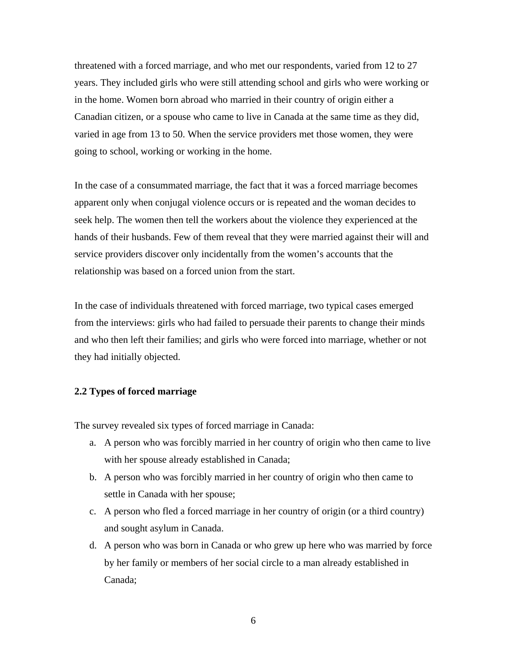threatened with a forced marriage, and who met our respondents, varied from 12 to 27 years. They included girls who were still attending school and girls who were working or in the home. Women born abroad who married in their country of origin either a Canadian citizen, or a spouse who came to live in Canada at the same time as they did, varied in age from 13 to 50. When the service providers met those women, they were going to school, working or working in the home.

In the case of a consummated marriage, the fact that it was a forced marriage becomes apparent only when conjugal violence occurs or is repeated and the woman decides to seek help. The women then tell the workers about the violence they experienced at the hands of their husbands. Few of them reveal that they were married against their will and service providers discover only incidentally from the women's accounts that the relationship was based on a forced union from the start.

In the case of individuals threatened with forced marriage, two typical cases emerged from the interviews: girls who had failed to persuade their parents to change their minds and who then left their families; and girls who were forced into marriage, whether or not they had initially objected.

## **2.2 Types of forced marriage**

The survey revealed six types of forced marriage in Canada:

- a. A person who was forcibly married in her country of origin who then came to live with her spouse already established in Canada;
- b. A person who was forcibly married in her country of origin who then came to settle in Canada with her spouse;
- c. A person who fled a forced marriage in her country of origin (or a third country) and sought asylum in Canada.
- d. A person who was born in Canada or who grew up here who was married by force by her family or members of her social circle to a man already established in Canada;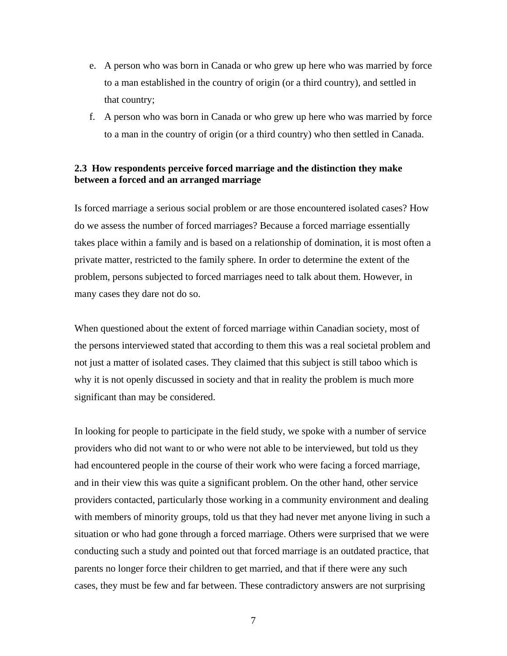- e. A person who was born in Canada or who grew up here who was married by force to a man established in the country of origin (or a third country), and settled in that country;
- f. A person who was born in Canada or who grew up here who was married by force to a man in the country of origin (or a third country) who then settled in Canada.

## **2.3 How respondents perceive forced marriage and the distinction they make between a forced and an arranged marriage**

Is forced marriage a serious social problem or are those encountered isolated cases? How do we assess the number of forced marriages? Because a forced marriage essentially takes place within a family and is based on a relationship of domination, it is most often a private matter, restricted to the family sphere. In order to determine the extent of the problem, persons subjected to forced marriages need to talk about them. However, in many cases they dare not do so.

When questioned about the extent of forced marriage within Canadian society, most of the persons interviewed stated that according to them this was a real societal problem and not just a matter of isolated cases. They claimed that this subject is still taboo which is why it is not openly discussed in society and that in reality the problem is much more significant than may be considered.

In looking for people to participate in the field study, we spoke with a number of service providers who did not want to or who were not able to be interviewed, but told us they had encountered people in the course of their work who were facing a forced marriage, and in their view this was quite a significant problem. On the other hand, other service providers contacted, particularly those working in a community environment and dealing with members of minority groups, told us that they had never met anyone living in such a situation or who had gone through a forced marriage. Others were surprised that we were conducting such a study and pointed out that forced marriage is an outdated practice, that parents no longer force their children to get married, and that if there were any such cases, they must be few and far between. These contradictory answers are not surprising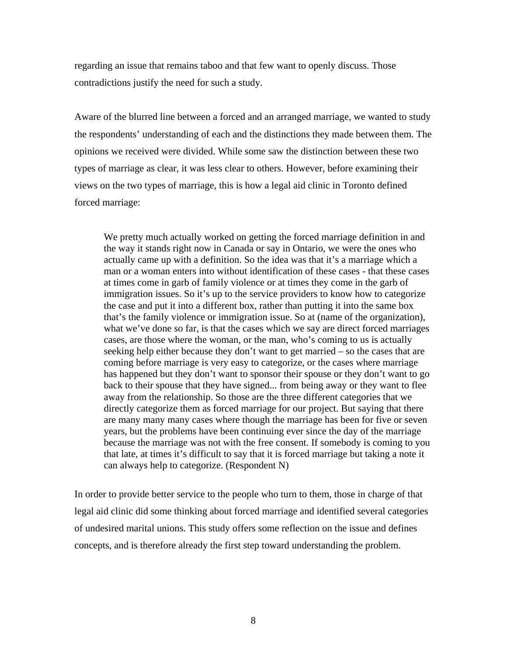regarding an issue that remains taboo and that few want to openly discuss. Those contradictions justify the need for such a study.

Aware of the blurred line between a forced and an arranged marriage, we wanted to study the respondents' understanding of each and the distinctions they made between them. The opinions we received were divided. While some saw the distinction between these two types of marriage as clear, it was less clear to others. However, before examining their views on the two types of marriage, this is how a legal aid clinic in Toronto defined forced marriage:

We pretty much actually worked on getting the forced marriage definition in and the way it stands right now in Canada or say in Ontario, we were the ones who actually came up with a definition. So the idea was that it's a marriage which a man or a woman enters into without identification of these cases - that these cases at times come in garb of family violence or at times they come in the garb of immigration issues. So it's up to the service providers to know how to categorize the case and put it into a different box, rather than putting it into the same box that's the family violence or immigration issue. So at (name of the organization), what we've done so far, is that the cases which we say are direct forced marriages cases, are those where the woman, or the man, who's coming to us is actually seeking help either because they don't want to get married – so the cases that are coming before marriage is very easy to categorize, or the cases where marriage has happened but they don't want to sponsor their spouse or they don't want to go back to their spouse that they have signed... from being away or they want to flee away from the relationship. So those are the three different categories that we directly categorize them as forced marriage for our project. But saying that there are many many many cases where though the marriage has been for five or seven years, but the problems have been continuing ever since the day of the marriage because the marriage was not with the free consent. If somebody is coming to you that late, at times it's difficult to say that it is forced marriage but taking a note it can always help to categorize. (Respondent N)

In order to provide better service to the people who turn to them, those in charge of that legal aid clinic did some thinking about forced marriage and identified several categories of undesired marital unions. This study offers some reflection on the issue and defines concepts, and is therefore already the first step toward understanding the problem.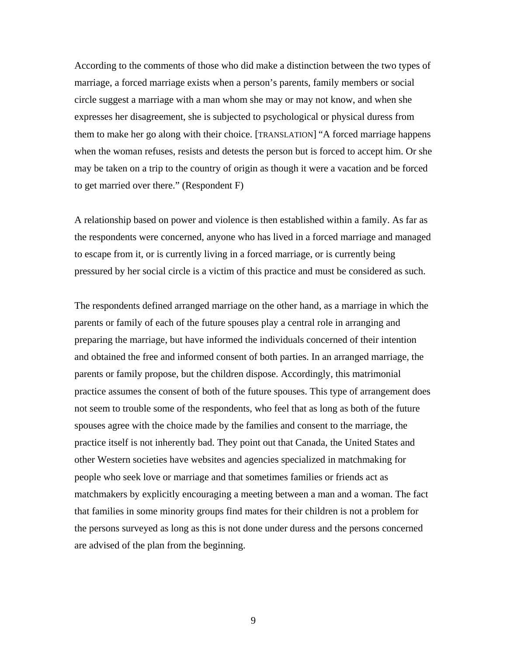According to the comments of those who did make a distinction between the two types of marriage, a forced marriage exists when a person's parents, family members or social circle suggest a marriage with a man whom she may or may not know, and when she expresses her disagreement, she is subjected to psychological or physical duress from them to make her go along with their choice. [TRANSLATION] "A forced marriage happens when the woman refuses, resists and detests the person but is forced to accept him. Or she may be taken on a trip to the country of origin as though it were a vacation and be forced to get married over there." (Respondent F)

A relationship based on power and violence is then established within a family. As far as the respondents were concerned, anyone who has lived in a forced marriage and managed to escape from it, or is currently living in a forced marriage, or is currently being pressured by her social circle is a victim of this practice and must be considered as such.

The respondents defined arranged marriage on the other hand, as a marriage in which the parents or family of each of the future spouses play a central role in arranging and preparing the marriage, but have informed the individuals concerned of their intention and obtained the free and informed consent of both parties. In an arranged marriage, the parents or family propose, but the children dispose. Accordingly, this matrimonial practice assumes the consent of both of the future spouses. This type of arrangement does not seem to trouble some of the respondents, who feel that as long as both of the future spouses agree with the choice made by the families and consent to the marriage, the practice itself is not inherently bad. They point out that Canada, the United States and other Western societies have websites and agencies specialized in matchmaking for people who seek love or marriage and that sometimes families or friends act as matchmakers by explicitly encouraging a meeting between a man and a woman. The fact that families in some minority groups find mates for their children is not a problem for the persons surveyed as long as this is not done under duress and the persons concerned are advised of the plan from the beginning.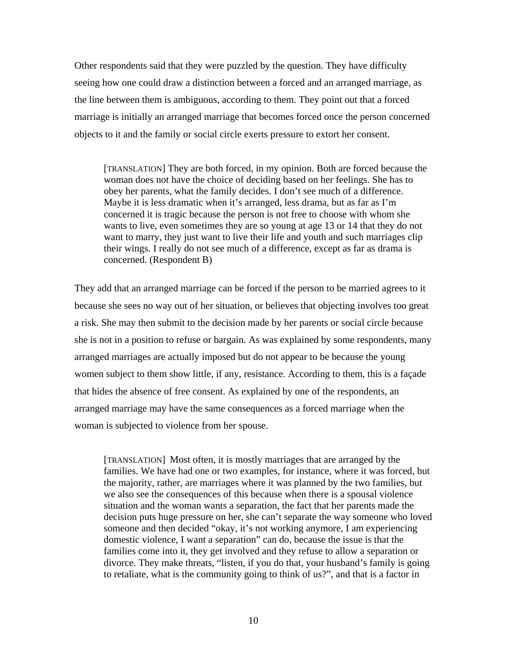Other respondents said that they were puzzled by the question. They have difficulty seeing how one could draw a distinction between a forced and an arranged marriage, as the line between them is ambiguous, according to them. They point out that a forced marriage is initially an arranged marriage that becomes forced once the person concerned objects to it and the family or social circle exerts pressure to extort her consent.

[TRANSLATION] They are both forced, in my opinion. Both are forced because the woman does not have the choice of deciding based on her feelings. She has to obey her parents, what the family decides. I don't see much of a difference. Maybe it is less dramatic when it's arranged, less drama, but as far as I'm concerned it is tragic because the person is not free to choose with whom she wants to live, even sometimes they are so young at age 13 or 14 that they do not want to marry, they just want to live their life and youth and such marriages clip their wings. I really do not see much of a difference, except as far as drama is concerned. (Respondent B)

They add that an arranged marriage can be forced if the person to be married agrees to it because she sees no way out of her situation, or believes that objecting involves too great a risk. She may then submit to the decision made by her parents or social circle because she is not in a position to refuse or bargain. As was explained by some respondents, many arranged marriages are actually imposed but do not appear to be because the young women subject to them show little, if any, resistance. According to them, this is a façade that hides the absence of free consent. As explained by one of the respondents, an arranged marriage may have the same consequences as a forced marriage when the woman is subjected to violence from her spouse.

[TRANSLATION] Most often, it is mostly marriages that are arranged by the families. We have had one or two examples, for instance, where it was forced, but the majority, rather, are marriages where it was planned by the two families, but we also see the consequences of this because when there is a spousal violence situation and the woman wants a separation, the fact that her parents made the decision puts huge pressure on her, she can't separate the way someone who loved someone and then decided "okay, it's not working anymore, I am experiencing domestic violence, I want a separation" can do, because the issue is that the families come into it, they get involved and they refuse to allow a separation or divorce. They make threats, "listen, if you do that, your husband's family is going to retaliate, what is the community going to think of us?", and that is a factor in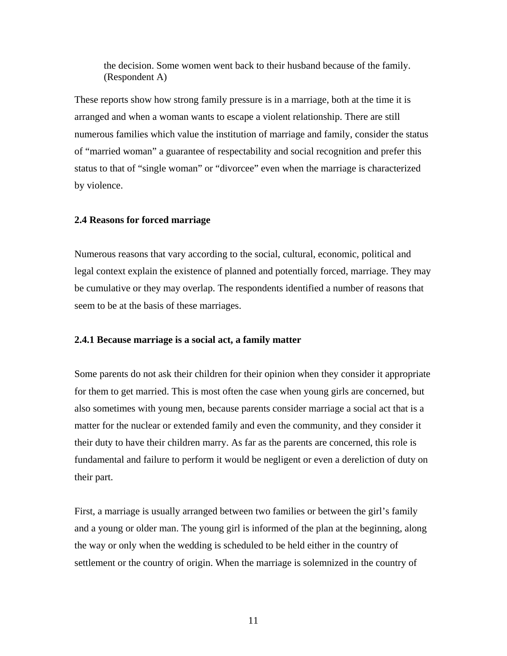the decision. Some women went back to their husband because of the family. (Respondent A)

These reports show how strong family pressure is in a marriage, both at the time it is arranged and when a woman wants to escape a violent relationship. There are still numerous families which value the institution of marriage and family, consider the status of "married woman" a guarantee of respectability and social recognition and prefer this status to that of "single woman" or "divorcee" even when the marriage is characterized by violence.

#### **2.4 Reasons for forced marriage**

Numerous reasons that vary according to the social, cultural, economic, political and legal context explain the existence of planned and potentially forced, marriage. They may be cumulative or they may overlap. The respondents identified a number of reasons that seem to be at the basis of these marriages.

#### **2.4.1 Because marriage is a social act, a family matter**

Some parents do not ask their children for their opinion when they consider it appropriate for them to get married. This is most often the case when young girls are concerned, but also sometimes with young men, because parents consider marriage a social act that is a matter for the nuclear or extended family and even the community, and they consider it their duty to have their children marry. As far as the parents are concerned, this role is fundamental and failure to perform it would be negligent or even a dereliction of duty on their part.

First, a marriage is usually arranged between two families or between the girl's family and a young or older man. The young girl is informed of the plan at the beginning, along the way or only when the wedding is scheduled to be held either in the country of settlement or the country of origin. When the marriage is solemnized in the country of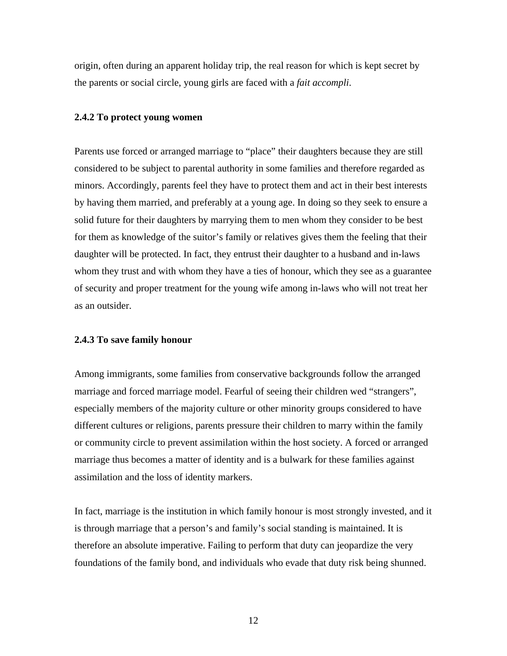origin, often during an apparent holiday trip, the real reason for which is kept secret by the parents or social circle, young girls are faced with a *fait accompli*.

#### **2.4.2 To protect young women**

Parents use forced or arranged marriage to "place" their daughters because they are still considered to be subject to parental authority in some families and therefore regarded as minors. Accordingly, parents feel they have to protect them and act in their best interests by having them married, and preferably at a young age. In doing so they seek to ensure a solid future for their daughters by marrying them to men whom they consider to be best for them as knowledge of the suitor's family or relatives gives them the feeling that their daughter will be protected. In fact, they entrust their daughter to a husband and in-laws whom they trust and with whom they have a ties of honour, which they see as a guarantee of security and proper treatment for the young wife among in-laws who will not treat her as an outsider.

#### **2.4.3 To save family honour**

Among immigrants, some families from conservative backgrounds follow the arranged marriage and forced marriage model. Fearful of seeing their children wed "strangers", especially members of the majority culture or other minority groups considered to have different cultures or religions, parents pressure their children to marry within the family or community circle to prevent assimilation within the host society. A forced or arranged marriage thus becomes a matter of identity and is a bulwark for these families against assimilation and the loss of identity markers.

In fact, marriage is the institution in which family honour is most strongly invested, and it is through marriage that a person's and family's social standing is maintained. It is therefore an absolute imperative. Failing to perform that duty can jeopardize the very foundations of the family bond, and individuals who evade that duty risk being shunned.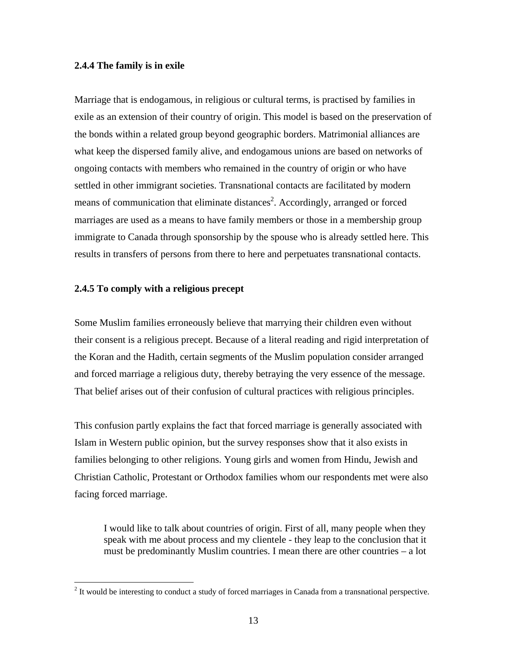## **2.4.4 The family is in exile**

Marriage that is endogamous, in religious or cultural terms, is practised by families in exile as an extension of their country of origin. This model is based on the preservation of the bonds within a related group beyond geographic borders. Matrimonial alliances are what keep the dispersed family alive, and endogamous unions are based on networks of ongoing contacts with members who remained in the country of origin or who have settled in other immigrant societies. Transnational contacts are facilitated by modern means of communication that eliminate distances<sup>2</sup>. Accordingly, arranged or forced marriages are used as a means to have family members or those in a membership group immigrate to Canada through sponsorship by the spouse who is already settled here. This results in transfers of persons from there to here and perpetuates transnational contacts.

## **2.4.5 To comply with a religious precept**

<u>.</u>

Some Muslim families erroneously believe that marrying their children even without their consent is a religious precept. Because of a literal reading and rigid interpretation of the Koran and the Hadith, certain segments of the Muslim population consider arranged and forced marriage a religious duty, thereby betraying the very essence of the message. That belief arises out of their confusion of cultural practices with religious principles.

This confusion partly explains the fact that forced marriage is generally associated with Islam in Western public opinion, but the survey responses show that it also exists in families belonging to other religions. Young girls and women from Hindu, Jewish and Christian Catholic, Protestant or Orthodox families whom our respondents met were also facing forced marriage.

I would like to talk about countries of origin. First of all, many people when they speak with me about process and my clientele - they leap to the conclusion that it must be predominantly Muslim countries. I mean there are other countries – a lot

 $2$  It would be interesting to conduct a study of forced marriages in Canada from a transnational perspective.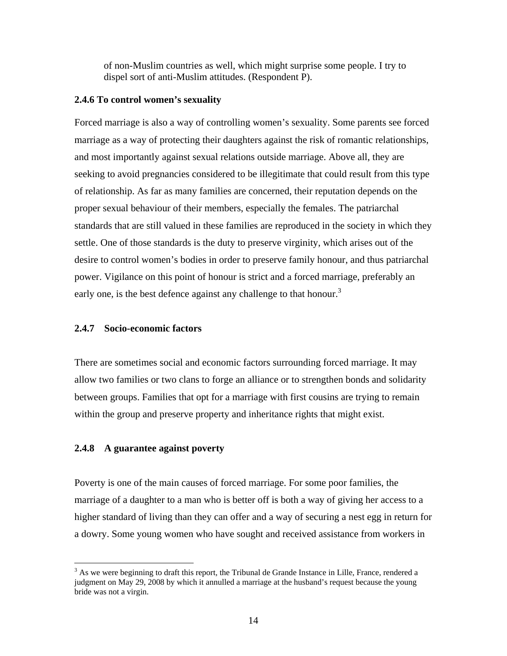of non-Muslim countries as well, which might surprise some people. I try to dispel sort of anti-Muslim attitudes. (Respondent P).

#### **2.4.6 To control women's sexuality**

Forced marriage is also a way of controlling women's sexuality. Some parents see forced marriage as a way of protecting their daughters against the risk of romantic relationships, and most importantly against sexual relations outside marriage. Above all, they are seeking to avoid pregnancies considered to be illegitimate that could result from this type of relationship. As far as many families are concerned, their reputation depends on the proper sexual behaviour of their members, especially the females. The patriarchal standards that are still valued in these families are reproduced in the society in which they settle. One of those standards is the duty to preserve virginity, which arises out of the desire to control women's bodies in order to preserve family honour, and thus patriarchal power. Vigilance on this point of honour is strict and a forced marriage, preferably an early one, is the best defence against any challenge to that honour.<sup>3</sup>

#### **2.4.7 Socio-economic factors**

There are sometimes social and economic factors surrounding forced marriage. It may allow two families or two clans to forge an alliance or to strengthen bonds and solidarity between groups. Families that opt for a marriage with first cousins are trying to remain within the group and preserve property and inheritance rights that might exist.

## **2.4.8 A guarantee against poverty**

 $\overline{a}$ 

Poverty is one of the main causes of forced marriage. For some poor families, the marriage of a daughter to a man who is better off is both a way of giving her access to a higher standard of living than they can offer and a way of securing a nest egg in return for a dowry. Some young women who have sought and received assistance from workers in

 $3$  As we were beginning to draft this report, the Tribunal de Grande Instance in Lille, France, rendered a judgment on May 29, 2008 by which it annulled a marriage at the husband's request because the young bride was not a virgin.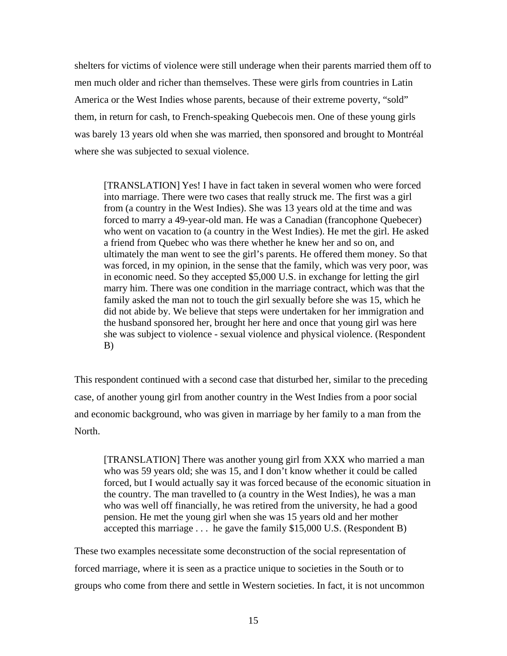shelters for victims of violence were still underage when their parents married them off to men much older and richer than themselves. These were girls from countries in Latin America or the West Indies whose parents, because of their extreme poverty, "sold" them, in return for cash, to French-speaking Quebecois men. One of these young girls was barely 13 years old when she was married, then sponsored and brought to Montréal where she was subjected to sexual violence.

[TRANSLATION] Yes! I have in fact taken in several women who were forced into marriage. There were two cases that really struck me. The first was a girl from (a country in the West Indies). She was 13 years old at the time and was forced to marry a 49-year-old man. He was a Canadian (francophone Quebecer) who went on vacation to (a country in the West Indies). He met the girl. He asked a friend from Quebec who was there whether he knew her and so on, and ultimately the man went to see the girl's parents. He offered them money. So that was forced, in my opinion, in the sense that the family, which was very poor, was in economic need. So they accepted \$5,000 U.S. in exchange for letting the girl marry him. There was one condition in the marriage contract, which was that the family asked the man not to touch the girl sexually before she was 15, which he did not abide by. We believe that steps were undertaken for her immigration and the husband sponsored her, brought her here and once that young girl was here she was subject to violence - sexual violence and physical violence. (Respondent B)

This respondent continued with a second case that disturbed her, similar to the preceding case, of another young girl from another country in the West Indies from a poor social and economic background, who was given in marriage by her family to a man from the North.

[TRANSLATION] There was another young girl from XXX who married a man who was 59 years old; she was 15, and I don't know whether it could be called forced, but I would actually say it was forced because of the economic situation in the country. The man travelled to (a country in the West Indies), he was a man who was well off financially, he was retired from the university, he had a good pension. He met the young girl when she was 15 years old and her mother accepted this marriage . . . he gave the family \$15,000 U.S. (Respondent B)

These two examples necessitate some deconstruction of the social representation of forced marriage, where it is seen as a practice unique to societies in the South or to groups who come from there and settle in Western societies. In fact, it is not uncommon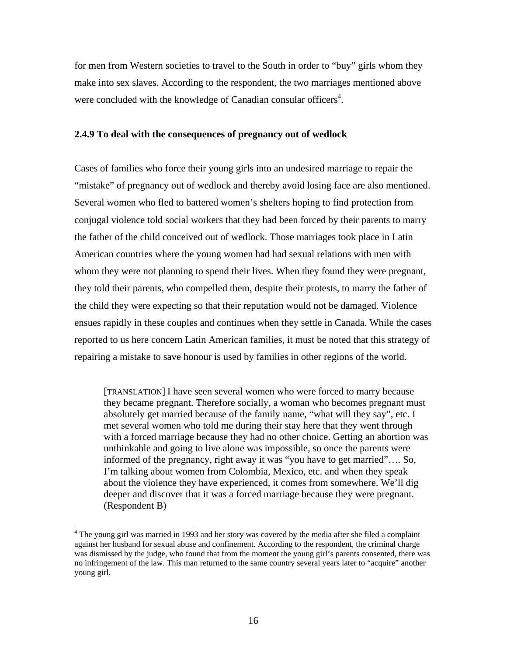for men from Western societies to travel to the South in order to "buy" girls whom they make into sex slaves. According to the respondent, the two marriages mentioned above were concluded with the knowledge of Canadian consular officers<sup>4</sup>.

#### **2.4.9 To deal with the consequences of pregnancy out of wedlock**

Cases of families who force their young girls into an undesired marriage to repair the "mistake" of pregnancy out of wedlock and thereby avoid losing face are also mentioned. Several women who fled to battered women's shelters hoping to find protection from conjugal violence told social workers that they had been forced by their parents to marry the father of the child conceived out of wedlock. Those marriages took place in Latin American countries where the young women had had sexual relations with men with whom they were not planning to spend their lives. When they found they were pregnant, they told their parents, who compelled them, despite their protests, to marry the father of the child they were expecting so that their reputation would not be damaged. Violence ensues rapidly in these couples and continues when they settle in Canada. While the cases reported to us here concern Latin American families, it must be noted that this strategy of repairing a mistake to save honour is used by families in other regions of the world.

[TRANSLATION] I have seen several women who were forced to marry because they became pregnant. Therefore socially, a woman who becomes pregnant must absolutely get married because of the family name, "what will they say", etc. I met several women who told me during their stay here that they went through with a forced marriage because they had no other choice. Getting an abortion was unthinkable and going to live alone was impossible, so once the parents were informed of the pregnancy, right away it was "you have to get married"…. So, I'm talking about women from Colombia, Mexico, etc. and when they speak about the violence they have experienced, it comes from somewhere. We'll dig deeper and discover that it was a forced marriage because they were pregnant. (Respondent B)

<u>.</u>

<sup>&</sup>lt;sup>4</sup> The young girl was married in 1993 and her story was covered by the media after she filed a complaint against her husband for sexual abuse and confinement. According to the respondent, the criminal charge was dismissed by the judge, who found that from the moment the young girl's parents consented, there was no infringement of the law. This man returned to the same country several years later to "acquire" another young girl.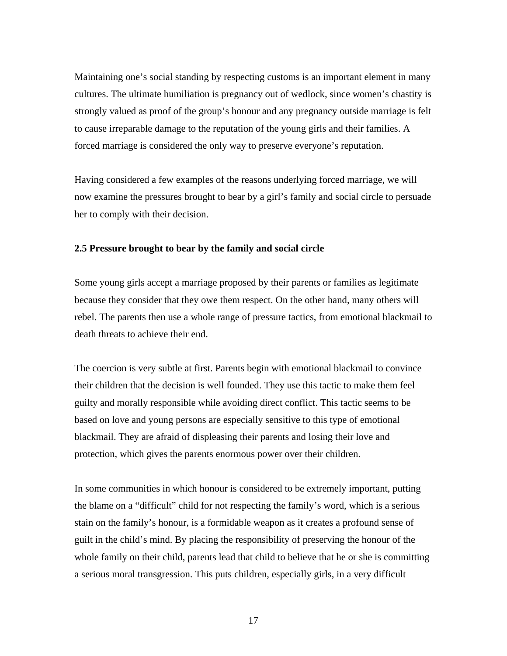Maintaining one's social standing by respecting customs is an important element in many cultures. The ultimate humiliation is pregnancy out of wedlock, since women's chastity is strongly valued as proof of the group's honour and any pregnancy outside marriage is felt to cause irreparable damage to the reputation of the young girls and their families. A forced marriage is considered the only way to preserve everyone's reputation.

Having considered a few examples of the reasons underlying forced marriage, we will now examine the pressures brought to bear by a girl's family and social circle to persuade her to comply with their decision.

## **2.5 Pressure brought to bear by the family and social circle**

Some young girls accept a marriage proposed by their parents or families as legitimate because they consider that they owe them respect. On the other hand, many others will rebel. The parents then use a whole range of pressure tactics, from emotional blackmail to death threats to achieve their end.

The coercion is very subtle at first. Parents begin with emotional blackmail to convince their children that the decision is well founded. They use this tactic to make them feel guilty and morally responsible while avoiding direct conflict. This tactic seems to be based on love and young persons are especially sensitive to this type of emotional blackmail. They are afraid of displeasing their parents and losing their love and protection, which gives the parents enormous power over their children.

In some communities in which honour is considered to be extremely important, putting the blame on a "difficult" child for not respecting the family's word, which is a serious stain on the family's honour, is a formidable weapon as it creates a profound sense of guilt in the child's mind. By placing the responsibility of preserving the honour of the whole family on their child, parents lead that child to believe that he or she is committing a serious moral transgression. This puts children, especially girls, in a very difficult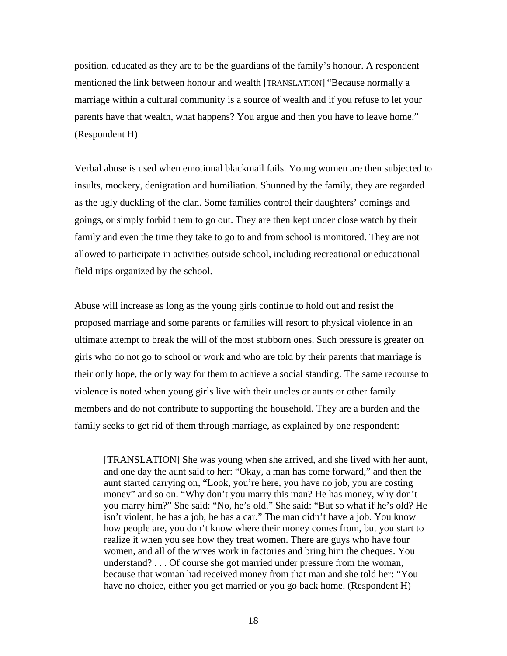position, educated as they are to be the guardians of the family's honour. A respondent mentioned the link between honour and wealth [TRANSLATION] "Because normally a marriage within a cultural community is a source of wealth and if you refuse to let your parents have that wealth, what happens? You argue and then you have to leave home." (Respondent H)

Verbal abuse is used when emotional blackmail fails. Young women are then subjected to insults, mockery, denigration and humiliation. Shunned by the family, they are regarded as the ugly duckling of the clan. Some families control their daughters' comings and goings, or simply forbid them to go out. They are then kept under close watch by their family and even the time they take to go to and from school is monitored. They are not allowed to participate in activities outside school, including recreational or educational field trips organized by the school.

Abuse will increase as long as the young girls continue to hold out and resist the proposed marriage and some parents or families will resort to physical violence in an ultimate attempt to break the will of the most stubborn ones. Such pressure is greater on girls who do not go to school or work and who are told by their parents that marriage is their only hope, the only way for them to achieve a social standing. The same recourse to violence is noted when young girls live with their uncles or aunts or other family members and do not contribute to supporting the household. They are a burden and the family seeks to get rid of them through marriage, as explained by one respondent:

[TRANSLATION] She was young when she arrived, and she lived with her aunt, and one day the aunt said to her: "Okay, a man has come forward," and then the aunt started carrying on, "Look, you're here, you have no job, you are costing money" and so on. "Why don't you marry this man? He has money, why don't you marry him?" She said: "No, he's old." She said: "But so what if he's old? He isn't violent, he has a job, he has a car." The man didn't have a job. You know how people are, you don't know where their money comes from, but you start to realize it when you see how they treat women. There are guys who have four women, and all of the wives work in factories and bring him the cheques. You understand? . . . Of course she got married under pressure from the woman, because that woman had received money from that man and she told her: "You have no choice, either you get married or you go back home. (Respondent H)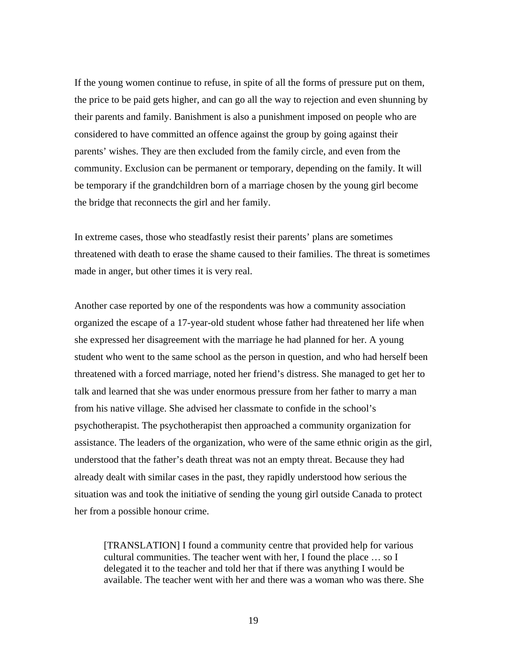If the young women continue to refuse, in spite of all the forms of pressure put on them, the price to be paid gets higher, and can go all the way to rejection and even shunning by their parents and family. Banishment is also a punishment imposed on people who are considered to have committed an offence against the group by going against their parents' wishes. They are then excluded from the family circle, and even from the community. Exclusion can be permanent or temporary, depending on the family. It will be temporary if the grandchildren born of a marriage chosen by the young girl become the bridge that reconnects the girl and her family.

In extreme cases, those who steadfastly resist their parents' plans are sometimes threatened with death to erase the shame caused to their families. The threat is sometimes made in anger, but other times it is very real.

Another case reported by one of the respondents was how a community association organized the escape of a 17-year-old student whose father had threatened her life when she expressed her disagreement with the marriage he had planned for her. A young student who went to the same school as the person in question, and who had herself been threatened with a forced marriage, noted her friend's distress. She managed to get her to talk and learned that she was under enormous pressure from her father to marry a man from his native village. She advised her classmate to confide in the school's psychotherapist. The psychotherapist then approached a community organization for assistance. The leaders of the organization, who were of the same ethnic origin as the girl, understood that the father's death threat was not an empty threat. Because they had already dealt with similar cases in the past, they rapidly understood how serious the situation was and took the initiative of sending the young girl outside Canada to protect her from a possible honour crime.

[TRANSLATION] I found a community centre that provided help for various cultural communities. The teacher went with her, I found the place … so I delegated it to the teacher and told her that if there was anything I would be available. The teacher went with her and there was a woman who was there. She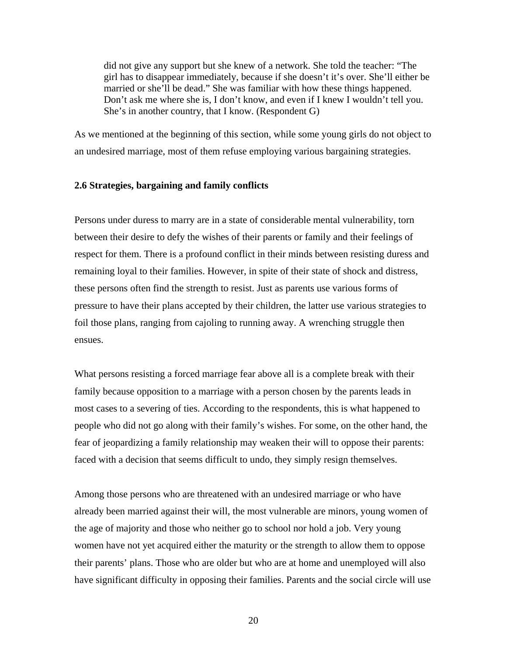did not give any support but she knew of a network. She told the teacher: "The girl has to disappear immediately, because if she doesn't it's over. She'll either be married or she'll be dead." She was familiar with how these things happened. Don't ask me where she is, I don't know, and even if I knew I wouldn't tell you. She's in another country, that I know. (Respondent G)

As we mentioned at the beginning of this section, while some young girls do not object to an undesired marriage, most of them refuse employing various bargaining strategies.

#### **2.6 Strategies, bargaining and family conflicts**

Persons under duress to marry are in a state of considerable mental vulnerability, torn between their desire to defy the wishes of their parents or family and their feelings of respect for them. There is a profound conflict in their minds between resisting duress and remaining loyal to their families. However, in spite of their state of shock and distress, these persons often find the strength to resist. Just as parents use various forms of pressure to have their plans accepted by their children, the latter use various strategies to foil those plans, ranging from cajoling to running away. A wrenching struggle then ensues.

What persons resisting a forced marriage fear above all is a complete break with their family because opposition to a marriage with a person chosen by the parents leads in most cases to a severing of ties. According to the respondents, this is what happened to people who did not go along with their family's wishes. For some, on the other hand, the fear of jeopardizing a family relationship may weaken their will to oppose their parents: faced with a decision that seems difficult to undo, they simply resign themselves.

Among those persons who are threatened with an undesired marriage or who have already been married against their will, the most vulnerable are minors, young women of the age of majority and those who neither go to school nor hold a job. Very young women have not yet acquired either the maturity or the strength to allow them to oppose their parents' plans. Those who are older but who are at home and unemployed will also have significant difficulty in opposing their families. Parents and the social circle will use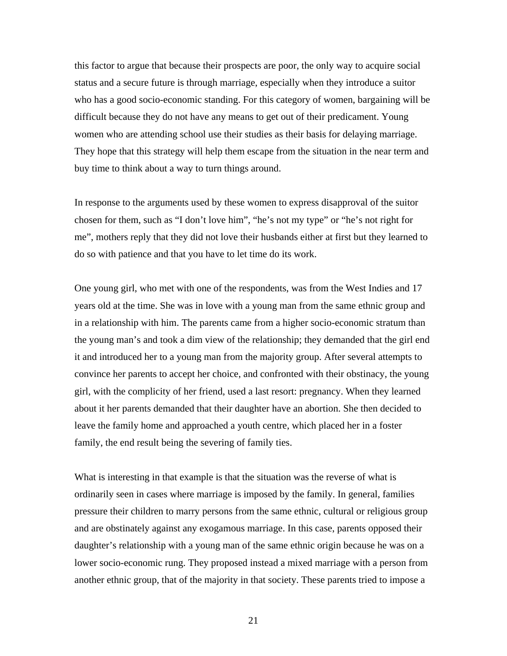this factor to argue that because their prospects are poor, the only way to acquire social status and a secure future is through marriage, especially when they introduce a suitor who has a good socio-economic standing. For this category of women, bargaining will be difficult because they do not have any means to get out of their predicament. Young women who are attending school use their studies as their basis for delaying marriage. They hope that this strategy will help them escape from the situation in the near term and buy time to think about a way to turn things around.

In response to the arguments used by these women to express disapproval of the suitor chosen for them, such as "I don't love him", "he's not my type" or "he's not right for me", mothers reply that they did not love their husbands either at first but they learned to do so with patience and that you have to let time do its work.

One young girl, who met with one of the respondents, was from the West Indies and 17 years old at the time. She was in love with a young man from the same ethnic group and in a relationship with him. The parents came from a higher socio-economic stratum than the young man's and took a dim view of the relationship; they demanded that the girl end it and introduced her to a young man from the majority group. After several attempts to convince her parents to accept her choice, and confronted with their obstinacy, the young girl, with the complicity of her friend, used a last resort: pregnancy. When they learned about it her parents demanded that their daughter have an abortion. She then decided to leave the family home and approached a youth centre, which placed her in a foster family, the end result being the severing of family ties.

What is interesting in that example is that the situation was the reverse of what is ordinarily seen in cases where marriage is imposed by the family. In general, families pressure their children to marry persons from the same ethnic, cultural or religious group and are obstinately against any exogamous marriage. In this case, parents opposed their daughter's relationship with a young man of the same ethnic origin because he was on a lower socio-economic rung. They proposed instead a mixed marriage with a person from another ethnic group, that of the majority in that society. These parents tried to impose a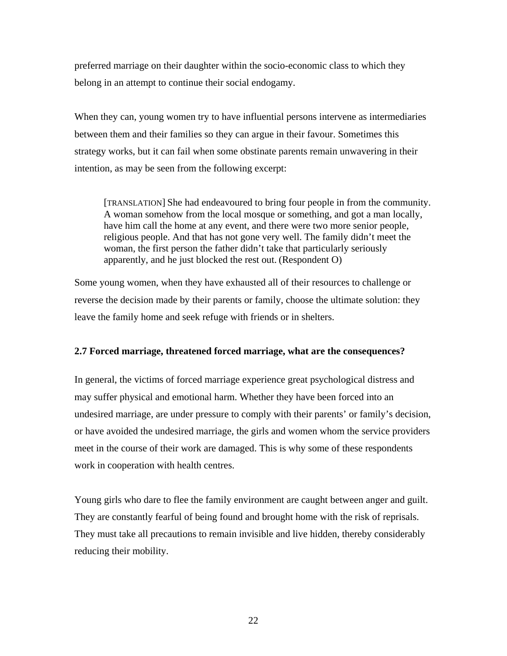preferred marriage on their daughter within the socio-economic class to which they belong in an attempt to continue their social endogamy.

When they can, young women try to have influential persons intervene as intermediaries between them and their families so they can argue in their favour. Sometimes this strategy works, but it can fail when some obstinate parents remain unwavering in their intention, as may be seen from the following excerpt:

[TRANSLATION] She had endeavoured to bring four people in from the community. A woman somehow from the local mosque or something, and got a man locally, have him call the home at any event, and there were two more senior people, religious people. And that has not gone very well. The family didn't meet the woman, the first person the father didn't take that particularly seriously apparently, and he just blocked the rest out. (Respondent O)

Some young women, when they have exhausted all of their resources to challenge or reverse the decision made by their parents or family, choose the ultimate solution: they leave the family home and seek refuge with friends or in shelters.

### **2.7 Forced marriage, threatened forced marriage, what are the consequences?**

In general, the victims of forced marriage experience great psychological distress and may suffer physical and emotional harm. Whether they have been forced into an undesired marriage, are under pressure to comply with their parents' or family's decision, or have avoided the undesired marriage, the girls and women whom the service providers meet in the course of their work are damaged. This is why some of these respondents work in cooperation with health centres.

Young girls who dare to flee the family environment are caught between anger and guilt. They are constantly fearful of being found and brought home with the risk of reprisals. They must take all precautions to remain invisible and live hidden, thereby considerably reducing their mobility.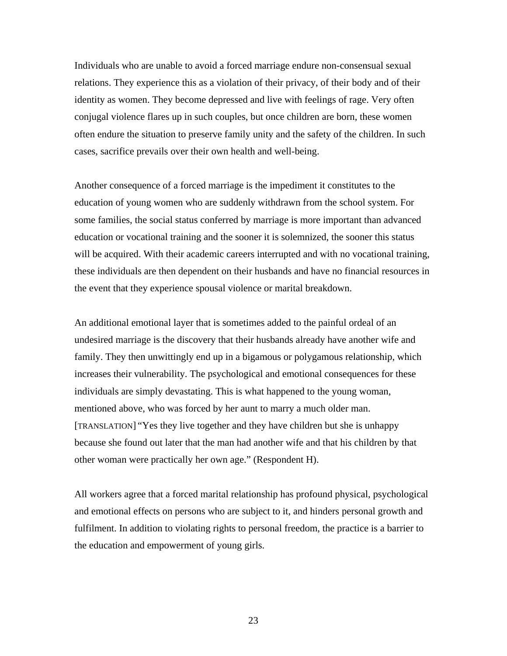Individuals who are unable to avoid a forced marriage endure non-consensual sexual relations. They experience this as a violation of their privacy, of their body and of their identity as women. They become depressed and live with feelings of rage. Very often conjugal violence flares up in such couples, but once children are born, these women often endure the situation to preserve family unity and the safety of the children. In such cases, sacrifice prevails over their own health and well-being.

Another consequence of a forced marriage is the impediment it constitutes to the education of young women who are suddenly withdrawn from the school system. For some families, the social status conferred by marriage is more important than advanced education or vocational training and the sooner it is solemnized, the sooner this status will be acquired. With their academic careers interrupted and with no vocational training, these individuals are then dependent on their husbands and have no financial resources in the event that they experience spousal violence or marital breakdown.

An additional emotional layer that is sometimes added to the painful ordeal of an undesired marriage is the discovery that their husbands already have another wife and family. They then unwittingly end up in a bigamous or polygamous relationship, which increases their vulnerability. The psychological and emotional consequences for these individuals are simply devastating. This is what happened to the young woman, mentioned above, who was forced by her aunt to marry a much older man. [TRANSLATION] "Yes they live together and they have children but she is unhappy because she found out later that the man had another wife and that his children by that other woman were practically her own age." (Respondent H).

All workers agree that a forced marital relationship has profound physical, psychological and emotional effects on persons who are subject to it, and hinders personal growth and fulfilment. In addition to violating rights to personal freedom, the practice is a barrier to the education and empowerment of young girls.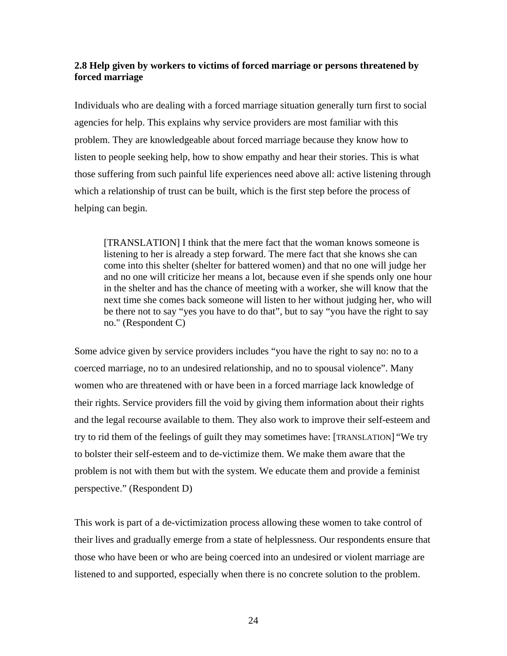# **2.8 Help given by workers to victims of forced marriage or persons threatened by forced marriage**

Individuals who are dealing with a forced marriage situation generally turn first to social agencies for help. This explains why service providers are most familiar with this problem. They are knowledgeable about forced marriage because they know how to listen to people seeking help, how to show empathy and hear their stories. This is what those suffering from such painful life experiences need above all: active listening through which a relationship of trust can be built, which is the first step before the process of helping can begin.

[TRANSLATION] I think that the mere fact that the woman knows someone is listening to her is already a step forward. The mere fact that she knows she can come into this shelter (shelter for battered women) and that no one will judge her and no one will criticize her means a lot, because even if she spends only one hour in the shelter and has the chance of meeting with a worker, she will know that the next time she comes back someone will listen to her without judging her, who will be there not to say "yes you have to do that", but to say "you have the right to say no." (Respondent C)

Some advice given by service providers includes "you have the right to say no: no to a coerced marriage, no to an undesired relationship, and no to spousal violence". Many women who are threatened with or have been in a forced marriage lack knowledge of their rights. Service providers fill the void by giving them information about their rights and the legal recourse available to them. They also work to improve their self-esteem and try to rid them of the feelings of guilt they may sometimes have: [TRANSLATION] "We try to bolster their self-esteem and to de-victimize them. We make them aware that the problem is not with them but with the system. We educate them and provide a feminist perspective." (Respondent D)

This work is part of a de-victimization process allowing these women to take control of their lives and gradually emerge from a state of helplessness. Our respondents ensure that those who have been or who are being coerced into an undesired or violent marriage are listened to and supported, especially when there is no concrete solution to the problem.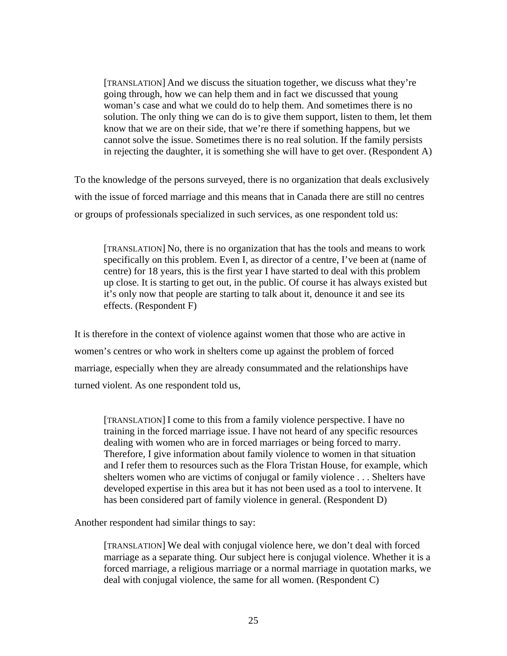[TRANSLATION] And we discuss the situation together, we discuss what they're going through, how we can help them and in fact we discussed that young woman's case and what we could do to help them. And sometimes there is no solution. The only thing we can do is to give them support, listen to them, let them know that we are on their side, that we're there if something happens, but we cannot solve the issue. Sometimes there is no real solution. If the family persists in rejecting the daughter, it is something she will have to get over. (Respondent A)

To the knowledge of the persons surveyed, there is no organization that deals exclusively with the issue of forced marriage and this means that in Canada there are still no centres or groups of professionals specialized in such services, as one respondent told us:

[TRANSLATION] No, there is no organization that has the tools and means to work specifically on this problem. Even I, as director of a centre, I've been at (name of centre) for 18 years, this is the first year I have started to deal with this problem up close. It is starting to get out, in the public. Of course it has always existed but it's only now that people are starting to talk about it, denounce it and see its effects. (Respondent F)

It is therefore in the context of violence against women that those who are active in women's centres or who work in shelters come up against the problem of forced marriage, especially when they are already consummated and the relationships have turned violent. As one respondent told us,

[TRANSLATION] I come to this from a family violence perspective. I have no training in the forced marriage issue. I have not heard of any specific resources dealing with women who are in forced marriages or being forced to marry. Therefore, I give information about family violence to women in that situation and I refer them to resources such as the Flora Tristan House, for example, which shelters women who are victims of conjugal or family violence . . . Shelters have developed expertise in this area but it has not been used as a tool to intervene. It has been considered part of family violence in general. (Respondent D)

Another respondent had similar things to say:

[TRANSLATION] We deal with conjugal violence here, we don't deal with forced marriage as a separate thing. Our subject here is conjugal violence. Whether it is a forced marriage, a religious marriage or a normal marriage in quotation marks, we deal with conjugal violence, the same for all women. (Respondent C)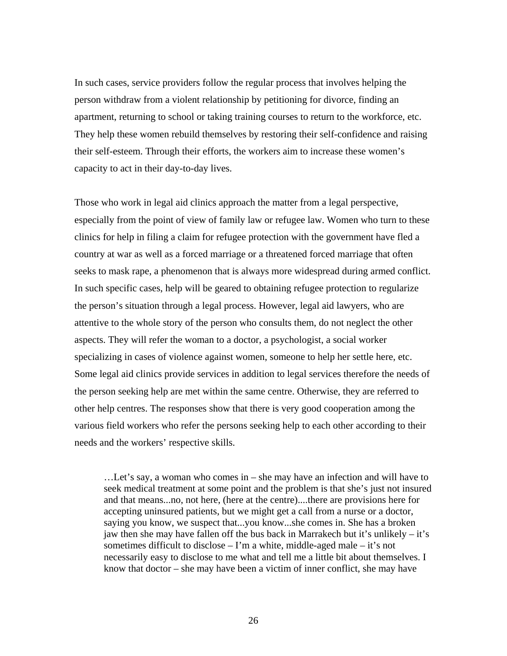In such cases, service providers follow the regular process that involves helping the person withdraw from a violent relationship by petitioning for divorce, finding an apartment, returning to school or taking training courses to return to the workforce, etc. They help these women rebuild themselves by restoring their self-confidence and raising their self-esteem. Through their efforts, the workers aim to increase these women's capacity to act in their day-to-day lives.

Those who work in legal aid clinics approach the matter from a legal perspective, especially from the point of view of family law or refugee law. Women who turn to these clinics for help in filing a claim for refugee protection with the government have fled a country at war as well as a forced marriage or a threatened forced marriage that often seeks to mask rape, a phenomenon that is always more widespread during armed conflict. In such specific cases, help will be geared to obtaining refugee protection to regularize the person's situation through a legal process. However, legal aid lawyers, who are attentive to the whole story of the person who consults them, do not neglect the other aspects. They will refer the woman to a doctor, a psychologist, a social worker specializing in cases of violence against women, someone to help her settle here, etc. Some legal aid clinics provide services in addition to legal services therefore the needs of the person seeking help are met within the same centre. Otherwise, they are referred to other help centres. The responses show that there is very good cooperation among the various field workers who refer the persons seeking help to each other according to their needs and the workers' respective skills.

…Let's say, a woman who comes in – she may have an infection and will have to seek medical treatment at some point and the problem is that she's just not insured and that means...no, not here, (here at the centre)....there are provisions here for accepting uninsured patients, but we might get a call from a nurse or a doctor, saying you know, we suspect that...you know...she comes in. She has a broken jaw then she may have fallen off the bus back in Marrakech but it's unlikely – it's sometimes difficult to disclose  $-1$ 'm a white, middle-aged male  $-$  it's not necessarily easy to disclose to me what and tell me a little bit about themselves. I know that doctor – she may have been a victim of inner conflict, she may have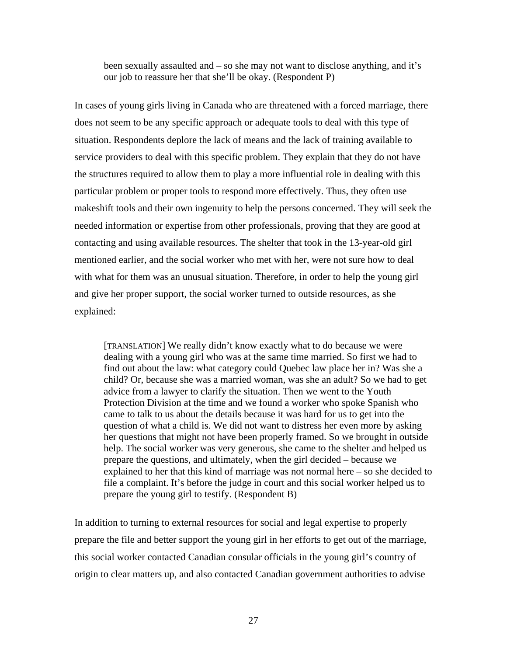been sexually assaulted and – so she may not want to disclose anything, and it's our job to reassure her that she'll be okay. (Respondent P)

In cases of young girls living in Canada who are threatened with a forced marriage, there does not seem to be any specific approach or adequate tools to deal with this type of situation. Respondents deplore the lack of means and the lack of training available to service providers to deal with this specific problem. They explain that they do not have the structures required to allow them to play a more influential role in dealing with this particular problem or proper tools to respond more effectively. Thus, they often use makeshift tools and their own ingenuity to help the persons concerned. They will seek the needed information or expertise from other professionals, proving that they are good at contacting and using available resources. The shelter that took in the 13-year-old girl mentioned earlier, and the social worker who met with her, were not sure how to deal with what for them was an unusual situation. Therefore, in order to help the young girl and give her proper support, the social worker turned to outside resources, as she explained:

[TRANSLATION] We really didn't know exactly what to do because we were dealing with a young girl who was at the same time married. So first we had to find out about the law: what category could Quebec law place her in? Was she a child? Or, because she was a married woman, was she an adult? So we had to get advice from a lawyer to clarify the situation. Then we went to the Youth Protection Division at the time and we found a worker who spoke Spanish who came to talk to us about the details because it was hard for us to get into the question of what a child is. We did not want to distress her even more by asking her questions that might not have been properly framed. So we brought in outside help. The social worker was very generous, she came to the shelter and helped us prepare the questions, and ultimately, when the girl decided – because we explained to her that this kind of marriage was not normal here – so she decided to file a complaint. It's before the judge in court and this social worker helped us to prepare the young girl to testify. (Respondent B)

In addition to turning to external resources for social and legal expertise to properly prepare the file and better support the young girl in her efforts to get out of the marriage, this social worker contacted Canadian consular officials in the young girl's country of origin to clear matters up, and also contacted Canadian government authorities to advise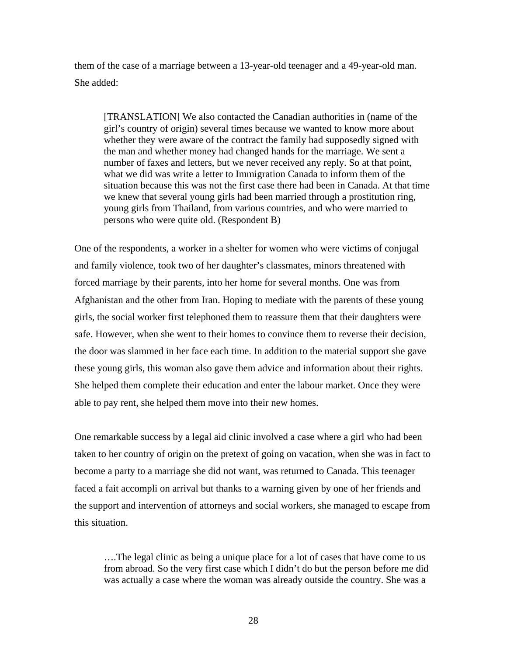them of the case of a marriage between a 13-year-old teenager and a 49-year-old man. She added:

[TRANSLATION] We also contacted the Canadian authorities in (name of the girl's country of origin) several times because we wanted to know more about whether they were aware of the contract the family had supposedly signed with the man and whether money had changed hands for the marriage. We sent a number of faxes and letters, but we never received any reply. So at that point, what we did was write a letter to Immigration Canada to inform them of the situation because this was not the first case there had been in Canada. At that time we knew that several young girls had been married through a prostitution ring, young girls from Thailand, from various countries, and who were married to persons who were quite old. (Respondent B)

One of the respondents, a worker in a shelter for women who were victims of conjugal and family violence, took two of her daughter's classmates, minors threatened with forced marriage by their parents, into her home for several months. One was from Afghanistan and the other from Iran. Hoping to mediate with the parents of these young girls, the social worker first telephoned them to reassure them that their daughters were safe. However, when she went to their homes to convince them to reverse their decision, the door was slammed in her face each time. In addition to the material support she gave these young girls, this woman also gave them advice and information about their rights. She helped them complete their education and enter the labour market. Once they were able to pay rent, she helped them move into their new homes.

One remarkable success by a legal aid clinic involved a case where a girl who had been taken to her country of origin on the pretext of going on vacation, when she was in fact to become a party to a marriage she did not want, was returned to Canada. This teenager faced a fait accompli on arrival but thanks to a warning given by one of her friends and the support and intervention of attorneys and social workers, she managed to escape from this situation.

….The legal clinic as being a unique place for a lot of cases that have come to us from abroad. So the very first case which I didn't do but the person before me did was actually a case where the woman was already outside the country. She was a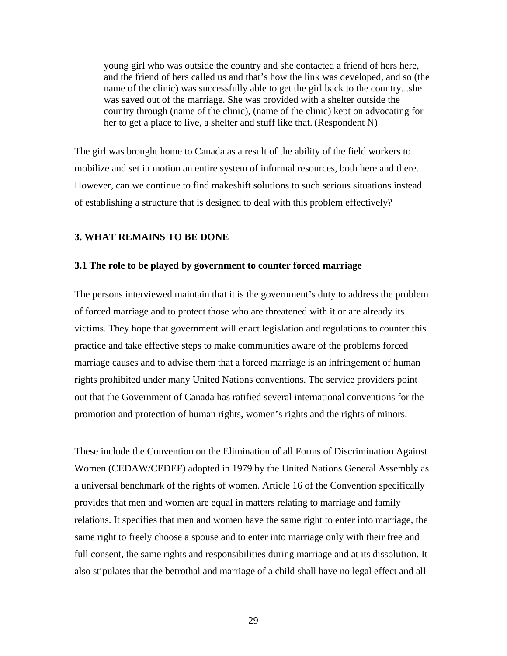young girl who was outside the country and she contacted a friend of hers here, and the friend of hers called us and that's how the link was developed, and so (the name of the clinic) was successfully able to get the girl back to the country...she was saved out of the marriage. She was provided with a shelter outside the country through (name of the clinic), (name of the clinic) kept on advocating for her to get a place to live, a shelter and stuff like that. (Respondent N)

The girl was brought home to Canada as a result of the ability of the field workers to mobilize and set in motion an entire system of informal resources, both here and there. However, can we continue to find makeshift solutions to such serious situations instead of establishing a structure that is designed to deal with this problem effectively?

## **3. WHAT REMAINS TO BE DONE**

#### **3.1 The role to be played by government to counter forced marriage**

The persons interviewed maintain that it is the government's duty to address the problem of forced marriage and to protect those who are threatened with it or are already its victims. They hope that government will enact legislation and regulations to counter this practice and take effective steps to make communities aware of the problems forced marriage causes and to advise them that a forced marriage is an infringement of human rights prohibited under many United Nations conventions. The service providers point out that the Government of Canada has ratified several international conventions for the promotion and protection of human rights, women's rights and the rights of minors.

These include the Convention on the Elimination of all Forms of Discrimination Against Women (CEDAW/CEDEF) adopted in 1979 by the United Nations General Assembly as a universal benchmark of the rights of women. Article 16 of the Convention specifically provides that men and women are equal in matters relating to marriage and family relations. It specifies that men and women have the same right to enter into marriage, the same right to freely choose a spouse and to enter into marriage only with their free and full consent, the same rights and responsibilities during marriage and at its dissolution. It also stipulates that the betrothal and marriage of a child shall have no legal effect and all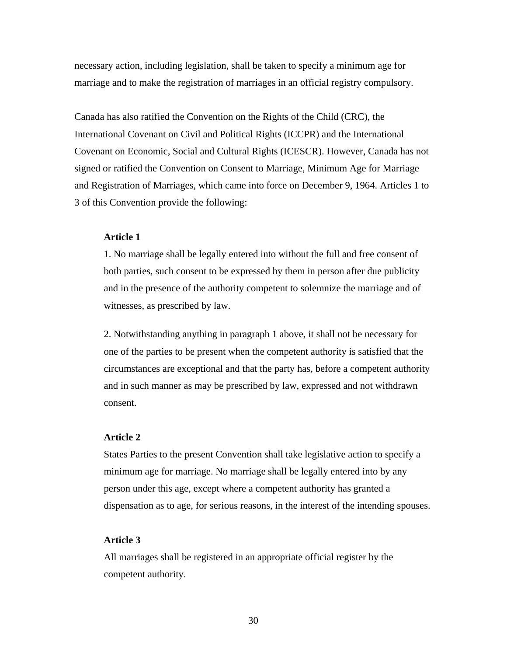necessary action, including legislation, shall be taken to specify a minimum age for marriage and to make the registration of marriages in an official registry compulsory.

Canada has also ratified the Convention on the Rights of the Child (CRC), the International Covenant on Civil and Political Rights (ICCPR) and the International Covenant on Economic, Social and Cultural Rights (ICESCR). However, Canada has not signed or ratified the Convention on Consent to Marriage, Minimum Age for Marriage and Registration of Marriages, which came into force on December 9, 1964. Articles 1 to 3 of this Convention provide the following:

## **Article 1**

1. No marriage shall be legally entered into without the full and free consent of both parties, such consent to be expressed by them in person after due publicity and in the presence of the authority competent to solemnize the marriage and of witnesses, as prescribed by law.

2. Notwithstanding anything in paragraph 1 above, it shall not be necessary for one of the parties to be present when the competent authority is satisfied that the circumstances are exceptional and that the party has, before a competent authority and in such manner as may be prescribed by law, expressed and not withdrawn consent.

#### **Article 2**

States Parties to the present Convention shall take legislative action to specify a minimum age for marriage. No marriage shall be legally entered into by any person under this age, except where a competent authority has granted a dispensation as to age, for serious reasons, in the interest of the intending spouses.

## **Article 3**

All marriages shall be registered in an appropriate official register by the competent authority.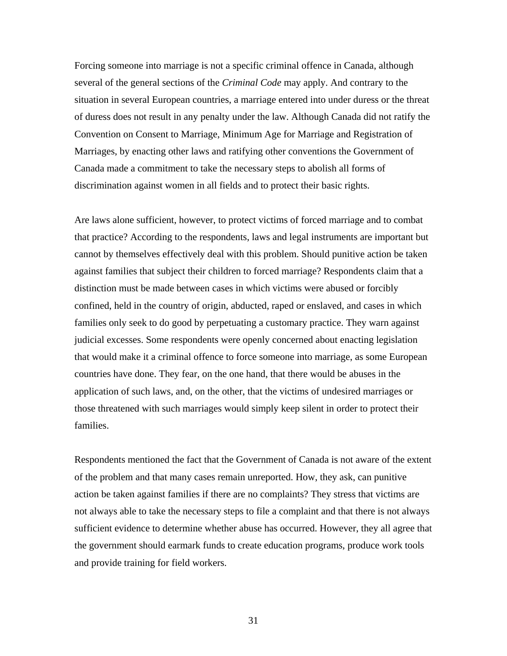Forcing someone into marriage is not a specific criminal offence in Canada, although several of the general sections of the *Criminal Code* may apply. And contrary to the situation in several European countries, a marriage entered into under duress or the threat of duress does not result in any penalty under the law. Although Canada did not ratify the Convention on Consent to Marriage, Minimum Age for Marriage and Registration of Marriages, by enacting other laws and ratifying other conventions the Government of Canada made a commitment to take the necessary steps to abolish all forms of discrimination against women in all fields and to protect their basic rights.

Are laws alone sufficient, however, to protect victims of forced marriage and to combat that practice? According to the respondents, laws and legal instruments are important but cannot by themselves effectively deal with this problem. Should punitive action be taken against families that subject their children to forced marriage? Respondents claim that a distinction must be made between cases in which victims were abused or forcibly confined, held in the country of origin, abducted, raped or enslaved, and cases in which families only seek to do good by perpetuating a customary practice. They warn against judicial excesses. Some respondents were openly concerned about enacting legislation that would make it a criminal offence to force someone into marriage, as some European countries have done. They fear, on the one hand, that there would be abuses in the application of such laws, and, on the other, that the victims of undesired marriages or those threatened with such marriages would simply keep silent in order to protect their families.

Respondents mentioned the fact that the Government of Canada is not aware of the extent of the problem and that many cases remain unreported. How, they ask, can punitive action be taken against families if there are no complaints? They stress that victims are not always able to take the necessary steps to file a complaint and that there is not always sufficient evidence to determine whether abuse has occurred. However, they all agree that the government should earmark funds to create education programs, produce work tools and provide training for field workers.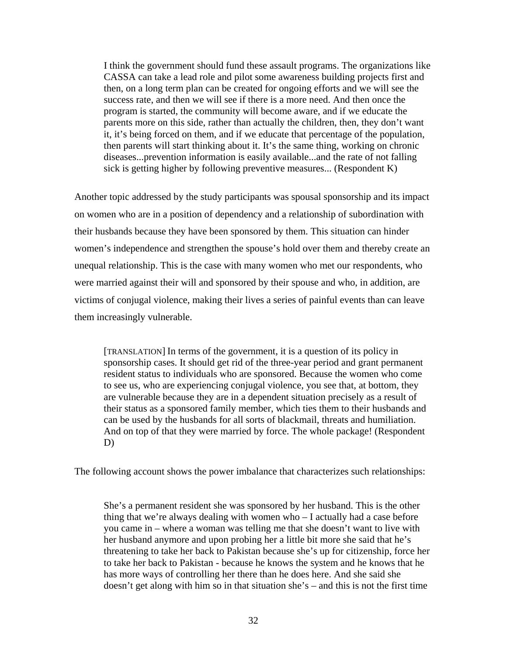I think the government should fund these assault programs. The organizations like CASSA can take a lead role and pilot some awareness building projects first and then, on a long term plan can be created for ongoing efforts and we will see the success rate, and then we will see if there is a more need. And then once the program is started, the community will become aware, and if we educate the parents more on this side, rather than actually the children, then, they don't want it, it's being forced on them, and if we educate that percentage of the population, then parents will start thinking about it. It's the same thing, working on chronic diseases...prevention information is easily available...and the rate of not falling sick is getting higher by following preventive measures... (Respondent K)

Another topic addressed by the study participants was spousal sponsorship and its impact on women who are in a position of dependency and a relationship of subordination with their husbands because they have been sponsored by them. This situation can hinder women's independence and strengthen the spouse's hold over them and thereby create an unequal relationship. This is the case with many women who met our respondents, who were married against their will and sponsored by their spouse and who, in addition, are victims of conjugal violence, making their lives a series of painful events than can leave them increasingly vulnerable.

[TRANSLATION] In terms of the government, it is a question of its policy in sponsorship cases. It should get rid of the three-year period and grant permanent resident status to individuals who are sponsored. Because the women who come to see us, who are experiencing conjugal violence, you see that, at bottom, they are vulnerable because they are in a dependent situation precisely as a result of their status as a sponsored family member, which ties them to their husbands and can be used by the husbands for all sorts of blackmail, threats and humiliation. And on top of that they were married by force. The whole package! (Respondent D)

The following account shows the power imbalance that characterizes such relationships:

She's a permanent resident she was sponsored by her husband. This is the other thing that we're always dealing with women who – I actually had a case before you came in – where a woman was telling me that she doesn't want to live with her husband anymore and upon probing her a little bit more she said that he's threatening to take her back to Pakistan because she's up for citizenship, force her to take her back to Pakistan - because he knows the system and he knows that he has more ways of controlling her there than he does here. And she said she doesn't get along with him so in that situation she's – and this is not the first time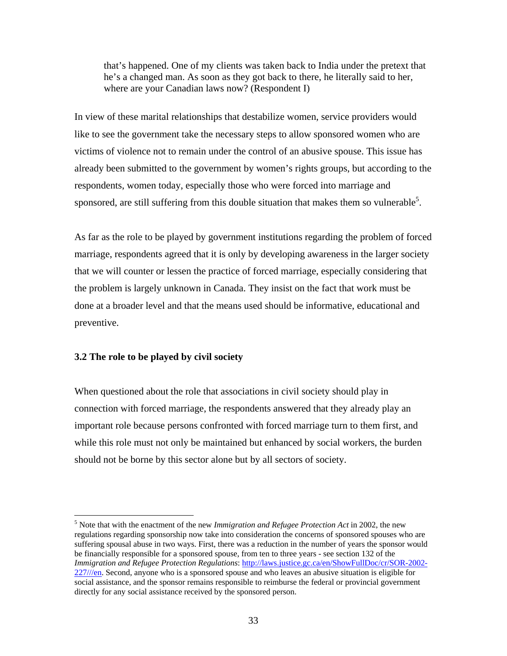that's happened. One of my clients was taken back to India under the pretext that he's a changed man. As soon as they got back to there, he literally said to her, where are your Canadian laws now? (Respondent I)

In view of these marital relationships that destabilize women, service providers would like to see the government take the necessary steps to allow sponsored women who are victims of violence not to remain under the control of an abusive spouse. This issue has already been submitted to the government by women's rights groups, but according to the respondents, women today, especially those who were forced into marriage and sponsored, are still suffering from this double situation that makes them so vulnerable<sup>5</sup>.

As far as the role to be played by government institutions regarding the problem of forced marriage, respondents agreed that it is only by developing awareness in the larger society that we will counter or lessen the practice of forced marriage, especially considering that the problem is largely unknown in Canada. They insist on the fact that work must be done at a broader level and that the means used should be informative, educational and preventive.

### **3.2 The role to be played by civil society**

 $\overline{a}$ 

When questioned about the role that associations in civil society should play in connection with forced marriage, the respondents answered that they already play an important role because persons confronted with forced marriage turn to them first, and while this role must not only be maintained but enhanced by social workers, the burden should not be borne by this sector alone but by all sectors of society.

<sup>5</sup> Note that with the enactment of the new *Immigration and Refugee Protection Act* in 2002, the new regulations regarding sponsorship now take into consideration the concerns of sponsored spouses who are suffering spousal abuse in two ways. First, there was a reduction in the number of years the sponsor would be financially responsible for a sponsored spouse, from ten to three years - see section 132 of the *Immigration and Refugee Protection Regulations*: http://laws.justice.gc.ca/en/ShowFullDoc/cr/SOR-2002- 227///en. Second, anyone who is a sponsored spouse and who leaves an abusive situation is eligible for social assistance, and the sponsor remains responsible to reimburse the federal or provincial government directly for any social assistance received by the sponsored person.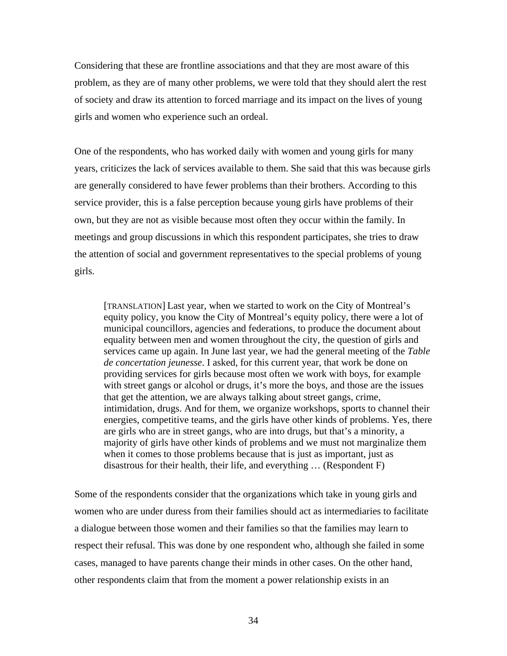Considering that these are frontline associations and that they are most aware of this problem, as they are of many other problems, we were told that they should alert the rest of society and draw its attention to forced marriage and its impact on the lives of young girls and women who experience such an ordeal.

One of the respondents, who has worked daily with women and young girls for many years, criticizes the lack of services available to them. She said that this was because girls are generally considered to have fewer problems than their brothers. According to this service provider, this is a false perception because young girls have problems of their own, but they are not as visible because most often they occur within the family. In meetings and group discussions in which this respondent participates, she tries to draw the attention of social and government representatives to the special problems of young girls.

[TRANSLATION] Last year, when we started to work on the City of Montreal's equity policy, you know the City of Montreal's equity policy, there were a lot of municipal councillors, agencies and federations, to produce the document about equality between men and women throughout the city, the question of girls and services came up again. In June last year, we had the general meeting of the *Table de concertation jeunesse*. I asked, for this current year, that work be done on providing services for girls because most often we work with boys, for example with street gangs or alcohol or drugs, it's more the boys, and those are the issues that get the attention, we are always talking about street gangs, crime, intimidation, drugs. And for them, we organize workshops, sports to channel their energies, competitive teams, and the girls have other kinds of problems. Yes, there are girls who are in street gangs, who are into drugs, but that's a minority, a majority of girls have other kinds of problems and we must not marginalize them when it comes to those problems because that is just as important, just as disastrous for their health, their life, and everything … (Respondent F)

Some of the respondents consider that the organizations which take in young girls and women who are under duress from their families should act as intermediaries to facilitate a dialogue between those women and their families so that the families may learn to respect their refusal. This was done by one respondent who, although she failed in some cases, managed to have parents change their minds in other cases. On the other hand, other respondents claim that from the moment a power relationship exists in an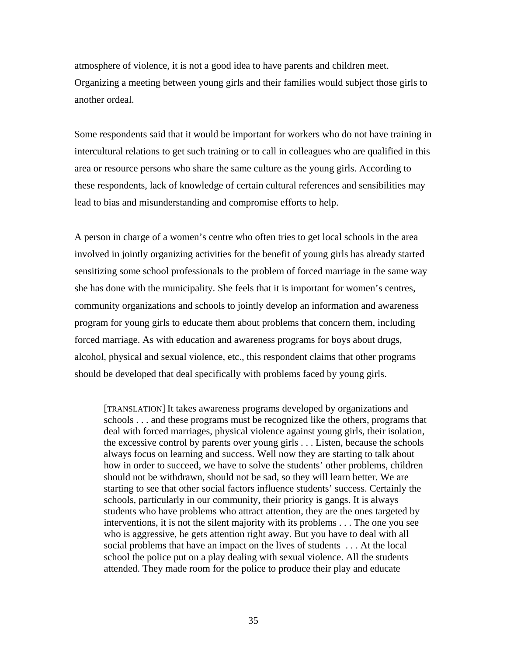atmosphere of violence, it is not a good idea to have parents and children meet. Organizing a meeting between young girls and their families would subject those girls to another ordeal.

Some respondents said that it would be important for workers who do not have training in intercultural relations to get such training or to call in colleagues who are qualified in this area or resource persons who share the same culture as the young girls. According to these respondents, lack of knowledge of certain cultural references and sensibilities may lead to bias and misunderstanding and compromise efforts to help.

A person in charge of a women's centre who often tries to get local schools in the area involved in jointly organizing activities for the benefit of young girls has already started sensitizing some school professionals to the problem of forced marriage in the same way she has done with the municipality. She feels that it is important for women's centres, community organizations and schools to jointly develop an information and awareness program for young girls to educate them about problems that concern them, including forced marriage. As with education and awareness programs for boys about drugs, alcohol, physical and sexual violence, etc., this respondent claims that other programs should be developed that deal specifically with problems faced by young girls.

[TRANSLATION] It takes awareness programs developed by organizations and schools . . . and these programs must be recognized like the others, programs that deal with forced marriages, physical violence against young girls, their isolation, the excessive control by parents over young girls . . . Listen, because the schools always focus on learning and success. Well now they are starting to talk about how in order to succeed, we have to solve the students' other problems, children should not be withdrawn, should not be sad, so they will learn better. We are starting to see that other social factors influence students' success. Certainly the schools, particularly in our community, their priority is gangs. It is always students who have problems who attract attention, they are the ones targeted by interventions, it is not the silent majority with its problems . . . The one you see who is aggressive, he gets attention right away. But you have to deal with all social problems that have an impact on the lives of students . . . At the local school the police put on a play dealing with sexual violence. All the students attended. They made room for the police to produce their play and educate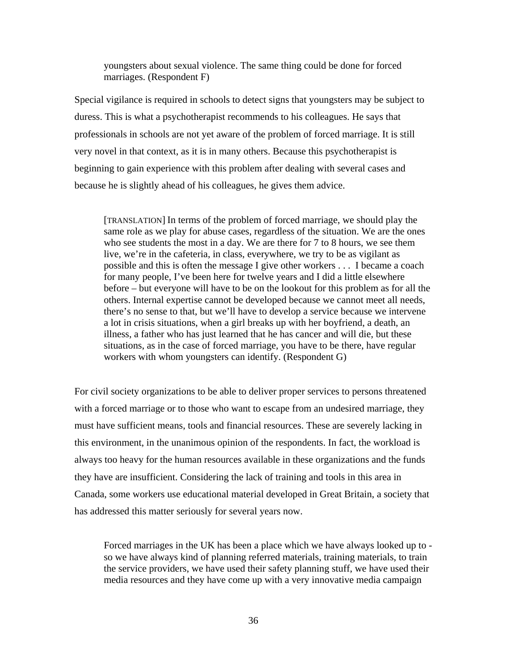youngsters about sexual violence. The same thing could be done for forced marriages. (Respondent F)

Special vigilance is required in schools to detect signs that youngsters may be subject to duress. This is what a psychotherapist recommends to his colleagues. He says that professionals in schools are not yet aware of the problem of forced marriage. It is still very novel in that context, as it is in many others. Because this psychotherapist is beginning to gain experience with this problem after dealing with several cases and because he is slightly ahead of his colleagues, he gives them advice.

[TRANSLATION] In terms of the problem of forced marriage, we should play the same role as we play for abuse cases, regardless of the situation. We are the ones who see students the most in a day. We are there for 7 to 8 hours, we see them live, we're in the cafeteria, in class, everywhere, we try to be as vigilant as possible and this is often the message I give other workers . . . I became a coach for many people, I've been here for twelve years and I did a little elsewhere before – but everyone will have to be on the lookout for this problem as for all the others. Internal expertise cannot be developed because we cannot meet all needs, there's no sense to that, but we'll have to develop a service because we intervene a lot in crisis situations, when a girl breaks up with her boyfriend, a death, an illness, a father who has just learned that he has cancer and will die, but these situations, as in the case of forced marriage, you have to be there, have regular workers with whom youngsters can identify. (Respondent G)

For civil society organizations to be able to deliver proper services to persons threatened with a forced marriage or to those who want to escape from an undesired marriage, they must have sufficient means, tools and financial resources. These are severely lacking in this environment, in the unanimous opinion of the respondents. In fact, the workload is always too heavy for the human resources available in these organizations and the funds they have are insufficient. Considering the lack of training and tools in this area in Canada, some workers use educational material developed in Great Britain, a society that has addressed this matter seriously for several years now.

Forced marriages in the UK has been a place which we have always looked up to so we have always kind of planning referred materials, training materials, to train the service providers, we have used their safety planning stuff, we have used their media resources and they have come up with a very innovative media campaign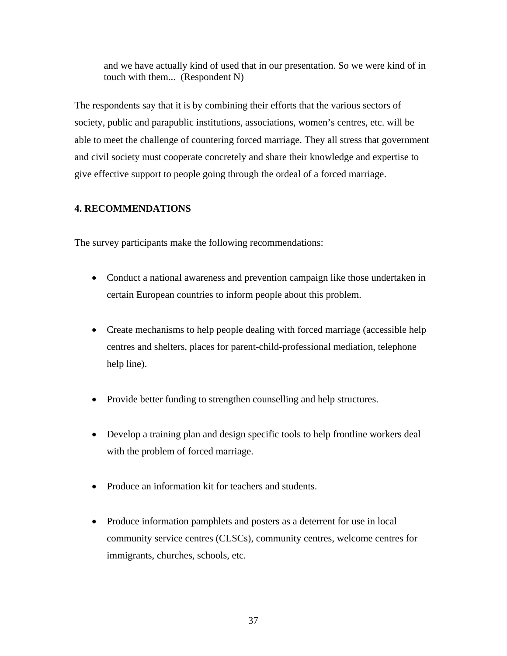and we have actually kind of used that in our presentation. So we were kind of in touch with them... (Respondent N)

The respondents say that it is by combining their efforts that the various sectors of society, public and parapublic institutions, associations, women's centres, etc. will be able to meet the challenge of countering forced marriage. They all stress that government and civil society must cooperate concretely and share their knowledge and expertise to give effective support to people going through the ordeal of a forced marriage.

# **4. RECOMMENDATIONS**

The survey participants make the following recommendations:

- Conduct a national awareness and prevention campaign like those undertaken in certain European countries to inform people about this problem.
- Create mechanisms to help people dealing with forced marriage (accessible help centres and shelters, places for parent-child-professional mediation, telephone help line).
- Provide better funding to strengthen counselling and help structures.
- Develop a training plan and design specific tools to help frontline workers deal with the problem of forced marriage.
- Produce an information kit for teachers and students.
- Produce information pamphlets and posters as a deterrent for use in local community service centres (CLSCs), community centres, welcome centres for immigrants, churches, schools, etc.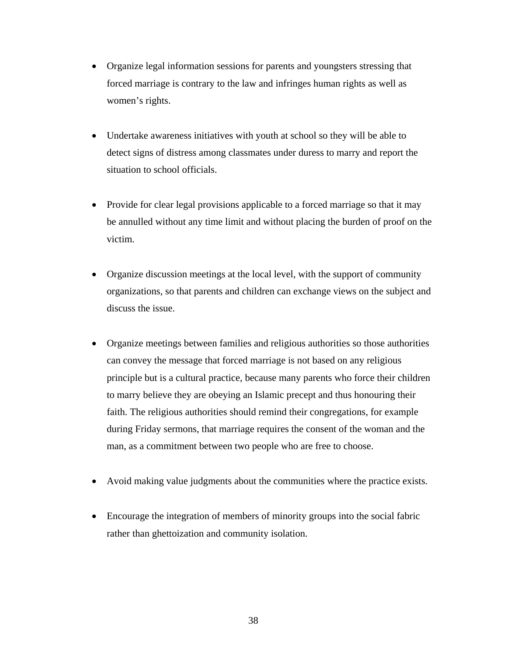- Organize legal information sessions for parents and youngsters stressing that forced marriage is contrary to the law and infringes human rights as well as women's rights.
- Undertake awareness initiatives with youth at school so they will be able to detect signs of distress among classmates under duress to marry and report the situation to school officials.
- Provide for clear legal provisions applicable to a forced marriage so that it may be annulled without any time limit and without placing the burden of proof on the victim.
- Organize discussion meetings at the local level, with the support of community organizations, so that parents and children can exchange views on the subject and discuss the issue.
- Organize meetings between families and religious authorities so those authorities can convey the message that forced marriage is not based on any religious principle but is a cultural practice, because many parents who force their children to marry believe they are obeying an Islamic precept and thus honouring their faith. The religious authorities should remind their congregations, for example during Friday sermons, that marriage requires the consent of the woman and the man, as a commitment between two people who are free to choose.
- Avoid making value judgments about the communities where the practice exists.
- Encourage the integration of members of minority groups into the social fabric rather than ghettoization and community isolation.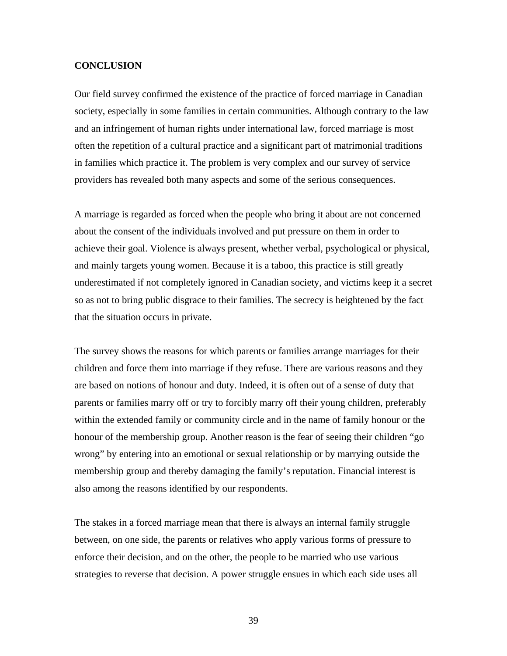## **CONCLUSION**

Our field survey confirmed the existence of the practice of forced marriage in Canadian society, especially in some families in certain communities. Although contrary to the law and an infringement of human rights under international law, forced marriage is most often the repetition of a cultural practice and a significant part of matrimonial traditions in families which practice it. The problem is very complex and our survey of service providers has revealed both many aspects and some of the serious consequences.

A marriage is regarded as forced when the people who bring it about are not concerned about the consent of the individuals involved and put pressure on them in order to achieve their goal. Violence is always present, whether verbal, psychological or physical, and mainly targets young women. Because it is a taboo, this practice is still greatly underestimated if not completely ignored in Canadian society, and victims keep it a secret so as not to bring public disgrace to their families. The secrecy is heightened by the fact that the situation occurs in private.

The survey shows the reasons for which parents or families arrange marriages for their children and force them into marriage if they refuse. There are various reasons and they are based on notions of honour and duty. Indeed, it is often out of a sense of duty that parents or families marry off or try to forcibly marry off their young children, preferably within the extended family or community circle and in the name of family honour or the honour of the membership group. Another reason is the fear of seeing their children "go wrong" by entering into an emotional or sexual relationship or by marrying outside the membership group and thereby damaging the family's reputation. Financial interest is also among the reasons identified by our respondents.

The stakes in a forced marriage mean that there is always an internal family struggle between, on one side, the parents or relatives who apply various forms of pressure to enforce their decision, and on the other, the people to be married who use various strategies to reverse that decision. A power struggle ensues in which each side uses all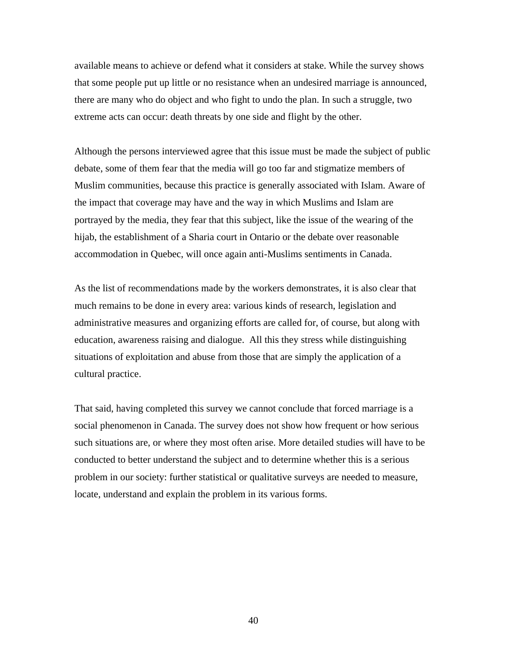available means to achieve or defend what it considers at stake. While the survey shows that some people put up little or no resistance when an undesired marriage is announced, there are many who do object and who fight to undo the plan. In such a struggle, two extreme acts can occur: death threats by one side and flight by the other.

Although the persons interviewed agree that this issue must be made the subject of public debate, some of them fear that the media will go too far and stigmatize members of Muslim communities, because this practice is generally associated with Islam. Aware of the impact that coverage may have and the way in which Muslims and Islam are portrayed by the media, they fear that this subject, like the issue of the wearing of the hijab, the establishment of a Sharia court in Ontario or the debate over reasonable accommodation in Quebec, will once again anti-Muslims sentiments in Canada.

As the list of recommendations made by the workers demonstrates, it is also clear that much remains to be done in every area: various kinds of research, legislation and administrative measures and organizing efforts are called for, of course, but along with education, awareness raising and dialogue. All this they stress while distinguishing situations of exploitation and abuse from those that are simply the application of a cultural practice.

That said, having completed this survey we cannot conclude that forced marriage is a social phenomenon in Canada. The survey does not show how frequent or how serious such situations are, or where they most often arise. More detailed studies will have to be conducted to better understand the subject and to determine whether this is a serious problem in our society: further statistical or qualitative surveys are needed to measure, locate, understand and explain the problem in its various forms.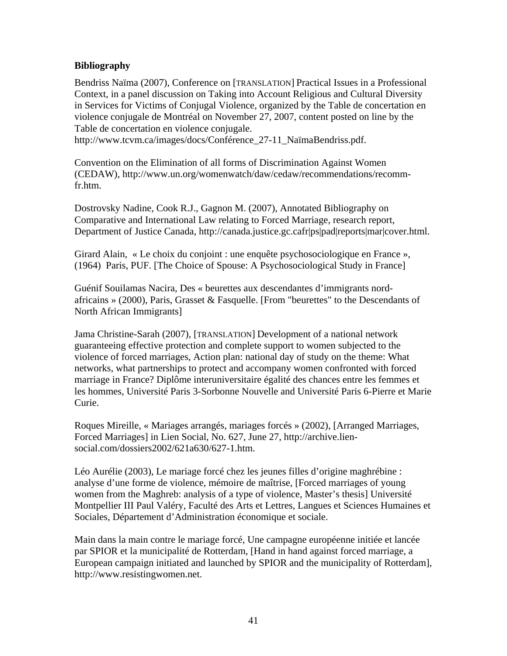# **Bibliography**

Bendriss Naïma (2007), Conference on [TRANSLATION] Practical Issues in a Professional Context, in a panel discussion on Taking into Account Religious and Cultural Diversity in Services for Victims of Conjugal Violence, organized by the Table de concertation en violence conjugale de Montréal on November 27, 2007, content posted on line by the Table de concertation en violence conjugale. http://www.tcvm.ca/images/docs/Conférence\_27-11\_NaïmaBendriss.pdf.

Convention on the Elimination of all forms of Discrimination Against Women (CEDAW), http://www.un.org/womenwatch/daw/cedaw/recommendations/recomm-

fr.htm.

Dostrovsky Nadine, Cook R.J., Gagnon M. (2007), Annotated Bibliography on Comparative and International Law relating to Forced Marriage, research report, Department of Justice Canada, http://canada.justice.gc.cafr|ps|pad|reports|mar|cover.html.

Girard Alain, « Le choix du conjoint : une enquête psychosociologique en France », (1964) Paris, PUF. [The Choice of Spouse: A Psychosociological Study in France]

Guénif Souilamas Nacira, Des « beurettes aux descendantes d'immigrants nordafricains » (2000), Paris, Grasset & Fasquelle. [From "beurettes" to the Descendants of North African Immigrants]

Jama Christine-Sarah (2007), [TRANSLATION] Development of a national network guaranteeing effective protection and complete support to women subjected to the violence of forced marriages, Action plan: national day of study on the theme: What networks, what partnerships to protect and accompany women confronted with forced marriage in France? Diplôme interuniversitaire égalité des chances entre les femmes et les hommes, Université Paris 3-Sorbonne Nouvelle and Université Paris 6-Pierre et Marie Curie.

Roques Mireille, « Mariages arrangés, mariages forcés » (2002), [Arranged Marriages, Forced Marriages] in Lien Social, No. 627, June 27, http://archive.liensocial.com/dossiers2002/621a630/627-1.htm.

Léo Aurélie (2003), Le mariage forcé chez les jeunes filles d'origine maghrébine : analyse d'une forme de violence, mémoire de maîtrise, [Forced marriages of young women from the Maghreb: analysis of a type of violence, Master's thesis] Université Montpellier III Paul Valéry, Faculté des Arts et Lettres, Langues et Sciences Humaines et Sociales, Département d'Administration économique et sociale.

Main dans la main contre le mariage forcé, Une campagne européenne initiée et lancée par SPIOR et la municipalité de Rotterdam, [Hand in hand against forced marriage, a European campaign initiated and launched by SPIOR and the municipality of Rotterdam], http://www.resistingwomen.net.